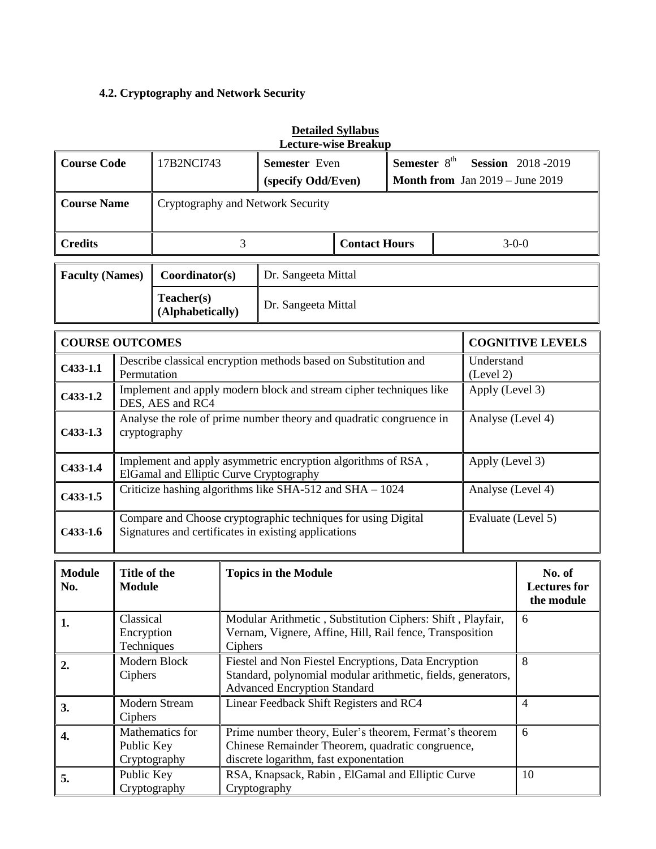# **4.2. Cryptography and Network Security**

| Lecture-wise Breakup   |                                   |                      |                                 |                                                  |  |  |  |
|------------------------|-----------------------------------|----------------------|---------------------------------|--------------------------------------------------|--|--|--|
| <b>Course Code</b>     | 17B2NCI743                        | <b>Semester</b> Even |                                 | Semester $8th$<br><b>Session</b> 2018-2019       |  |  |  |
|                        |                                   | (specify Odd/Even)   |                                 | <b>Month from</b> Jan $2019 - \text{June } 2019$ |  |  |  |
| <b>Course Name</b>     | Cryptography and Network Security |                      |                                 |                                                  |  |  |  |
|                        |                                   |                      |                                 |                                                  |  |  |  |
| <b>Credits</b>         |                                   |                      | $3-0-0$<br><b>Contact Hours</b> |                                                  |  |  |  |
|                        |                                   |                      |                                 |                                                  |  |  |  |
| <b>Faculty (Names)</b> | Coordinator(s)                    | Dr. Sangeeta Mittal  |                                 |                                                  |  |  |  |
|                        | Teacher(s)<br>(Alphabetically)    | Dr. Sangeeta Mittal  |                                 |                                                  |  |  |  |

|            | <b>COURSE OUTCOMES</b>                                                                                                | <b>COGNITIVE LEVELS</b> |
|------------|-----------------------------------------------------------------------------------------------------------------------|-------------------------|
| $C433-1.1$ | Describe classical encryption methods based on Substitution and<br>Permutation                                        | Understand<br>(Level 2) |
| $C433-1.2$ | Implement and apply modern block and stream cipher techniques like<br>DES, AES and RC4                                | Apply (Level 3)         |
| $C433-1.3$ | Analyse the role of prime number theory and quadratic congruence in<br>cryptography                                   | Analyse (Level 4)       |
| $C433-1.4$ | Implement and apply asymmetric encryption algorithms of RSA,<br>ElGamal and Elliptic Curve Cryptography               | Apply (Level 3)         |
| $C433-1.5$ | Criticize hashing algorithms like SHA-512 and SHA $- 1024$                                                            | Analyse (Level 4)       |
| $C433-1.6$ | Compare and Choose cryptographic techniques for using Digital<br>Signatures and certificates in existing applications | Evaluate (Level 5)      |

| <b>Module</b><br>No. | Title of the<br><b>Module</b>                 | <b>Topics in the Module</b><br>No. of<br><b>Lectures for</b><br>the module                                                                                  |    |  |  |
|----------------------|-----------------------------------------------|-------------------------------------------------------------------------------------------------------------------------------------------------------------|----|--|--|
| 1.                   | Classical<br>Encryption<br>Techniques         | Modular Arithmetic, Substitution Ciphers: Shift, Playfair,<br>Vernam, Vignere, Affine, Hill, Rail fence, Transposition<br>Ciphers                           | 6  |  |  |
| 2.                   | Modern Block<br>Ciphers                       | Fiestel and Non Fiestel Encryptions, Data Encryption<br>Standard, polynomial modular arithmetic, fields, generators,<br><b>Advanced Encryption Standard</b> | 8  |  |  |
| 3.                   | <b>Modern Stream</b><br>Ciphers               | Linear Feedback Shift Registers and RC4                                                                                                                     | 4  |  |  |
| 4.                   | Mathematics for<br>Public Key<br>Cryptography | Prime number theory, Euler's theorem, Fermat's theorem<br>Chinese Remainder Theorem, quadratic congruence,<br>discrete logarithm, fast exponentation        | 6  |  |  |
| 5.                   | Public Key<br>Cryptography                    | RSA, Knapsack, Rabin, ElGamal and Elliptic Curve<br>Cryptography                                                                                            | 10 |  |  |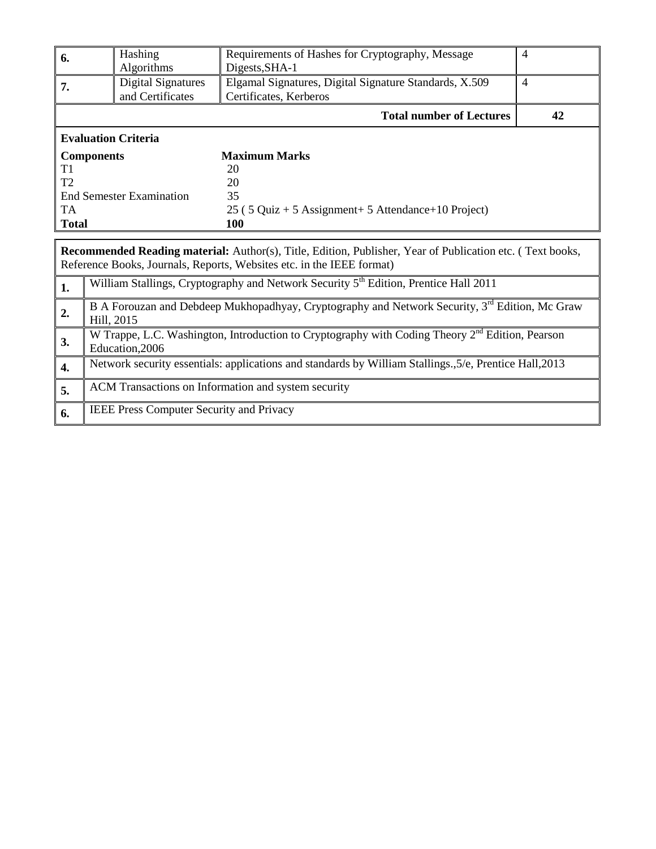|                | Hashing                                                                                                                                                                                   | Requirements of Hashes for Cryptography, Message                                                           | $\overline{4}$ |  |  |  |
|----------------|-------------------------------------------------------------------------------------------------------------------------------------------------------------------------------------------|------------------------------------------------------------------------------------------------------------|----------------|--|--|--|
| 6.             | Algorithms                                                                                                                                                                                | Digests, SHA-1                                                                                             |                |  |  |  |
| 7.             | <b>Digital Signatures</b><br>Elgamal Signatures, Digital Signature Standards, X.509<br>and Certificates<br>Certificates, Kerberos                                                         |                                                                                                            |                |  |  |  |
|                | <b>Total number of Lectures</b>                                                                                                                                                           |                                                                                                            |                |  |  |  |
|                | <b>Evaluation Criteria</b>                                                                                                                                                                |                                                                                                            |                |  |  |  |
|                | <b>Components</b>                                                                                                                                                                         | <b>Maximum Marks</b>                                                                                       |                |  |  |  |
| T1             |                                                                                                                                                                                           | 20                                                                                                         |                |  |  |  |
| T <sub>2</sub> |                                                                                                                                                                                           | 20                                                                                                         |                |  |  |  |
|                | <b>End Semester Examination</b>                                                                                                                                                           | 35                                                                                                         |                |  |  |  |
| <b>TA</b>      |                                                                                                                                                                                           | $25$ (5 Quiz + 5 Assignment + 5 Attendance + 10 Project)                                                   |                |  |  |  |
| <b>Total</b>   |                                                                                                                                                                                           | <b>100</b>                                                                                                 |                |  |  |  |
|                |                                                                                                                                                                                           |                                                                                                            |                |  |  |  |
|                | <b>Recommended Reading material:</b> Author(s), Title, Edition, Publisher, Year of Publication etc. (Text books,<br>Reference Books, Journals, Reports, Websites etc. in the IEEE format) |                                                                                                            |                |  |  |  |
| 1.             | William Stallings, Cryptography and Network Security 5 <sup>th</sup> Edition, Prentice Hall 2011                                                                                          |                                                                                                            |                |  |  |  |
| 2.             | Hill, 2015                                                                                                                                                                                | B A Forouzan and Debdeep Mukhopadhyay, Cryptography and Network Security, 3 <sup>rd</sup> Edition, Mc Graw |                |  |  |  |

**3.** W Trappe, L.C. Washington, Introduction to Cryptography with Coding Theory 2<sup>nd</sup> Edition, Pearson Education,2006 **4.** Network security essentials: applications and standards by William Stallings.,5/e, Prentice Hall,2013

**5.** ACM Transactions on Information and system security

**6.** IEEE Press Computer Security and Privacy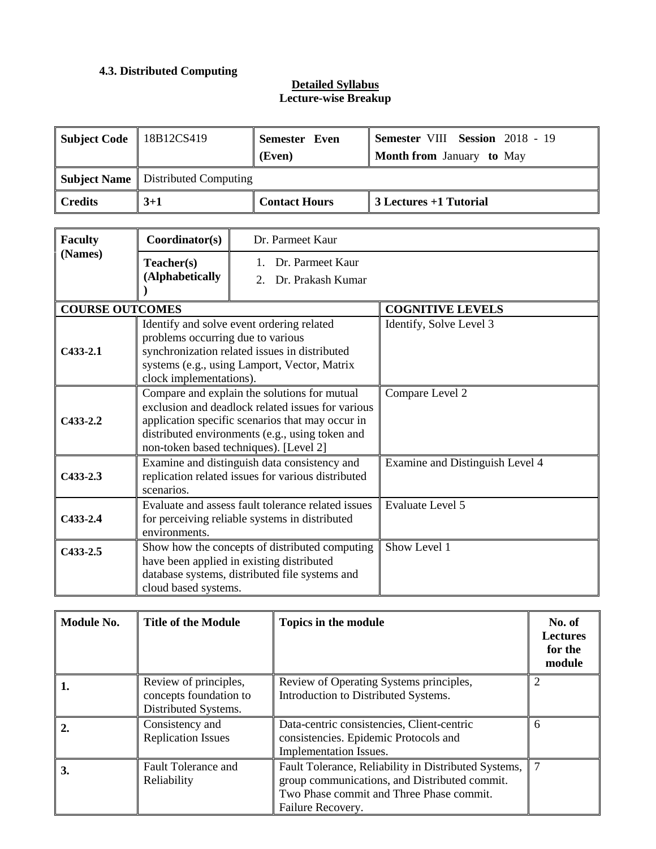# **4.3. Distributed Computing**

| Subject Code   18B12CS419 |                                             | <b>Semester Even</b><br>(Even) | <b>Semester VIII Session 2018 - 19</b><br><b>Month from January to May</b> |  |  |
|---------------------------|---------------------------------------------|--------------------------------|----------------------------------------------------------------------------|--|--|
|                           | <b>Subject Name</b>   Distributed Computing |                                |                                                                            |  |  |
| Credits                   | $3 + 1$                                     | <b>Contact Hours</b>           | 3 Lectures +1 Tutorial                                                     |  |  |

| <b>Faculty</b>         | Coordinator(s)                                               | Dr. Parmeet Kaur                                                                                                                                                                                                                                   |                                 |
|------------------------|--------------------------------------------------------------|----------------------------------------------------------------------------------------------------------------------------------------------------------------------------------------------------------------------------------------------------|---------------------------------|
| (Names)                | Teacher(s)<br>(Alphabetically                                | Dr. Parmeet Kaur<br>Dr. Prakash Kumar<br>$2^{\circ}$                                                                                                                                                                                               |                                 |
| <b>COURSE OUTCOMES</b> |                                                              |                                                                                                                                                                                                                                                    | <b>COGNITIVE LEVELS</b>         |
| $C433-2.1$             | problems occurring due to various<br>clock implementations). | Identify and solve event ordering related<br>synchronization related issues in distributed<br>systems (e.g., using Lamport, Vector, Matrix                                                                                                         | Identify, Solve Level 3         |
| $C433-2.2$             |                                                              | Compare and explain the solutions for mutual<br>exclusion and deadlock related issues for various<br>application specific scenarios that may occur in<br>distributed environments (e.g., using token and<br>non-token based techniques). [Level 2] | Compare Level 2                 |
| $C433 - 2.3$           | scenarios.                                                   | Examine and distinguish data consistency and<br>replication related issues for various distributed                                                                                                                                                 | Examine and Distinguish Level 4 |
| $C433-2.4$             | environments.                                                | Evaluate and assess fault tolerance related issues<br>for perceiving reliable systems in distributed                                                                                                                                               | <b>Evaluate Level 5</b>         |
| $C433-2.5$             | cloud based systems.                                         | Show how the concepts of distributed computing<br>have been applied in existing distributed<br>database systems, distributed file systems and                                                                                                      | Show Level 1                    |

| Module No.       | <b>Title of the Module</b>                                              | Topics in the module                                                                                                                                                   | No. of<br><b>Lectures</b><br>for the<br>module |
|------------------|-------------------------------------------------------------------------|------------------------------------------------------------------------------------------------------------------------------------------------------------------------|------------------------------------------------|
| 1.               | Review of principles,<br>concepts foundation to<br>Distributed Systems. | Review of Operating Systems principles,<br>Introduction to Distributed Systems.                                                                                        | 2                                              |
| $\overline{2}$ . | Consistency and<br><b>Replication Issues</b>                            | Data-centric consistencies, Client-centric<br>consistencies. Epidemic Protocols and<br>Implementation Issues.                                                          | 6                                              |
| 3.               | <b>Fault Tolerance and</b><br>Reliability                               | Fault Tolerance, Reliability in Distributed Systems,<br>group communications, and Distributed commit.<br>Two Phase commit and Three Phase commit.<br>Failure Recovery. |                                                |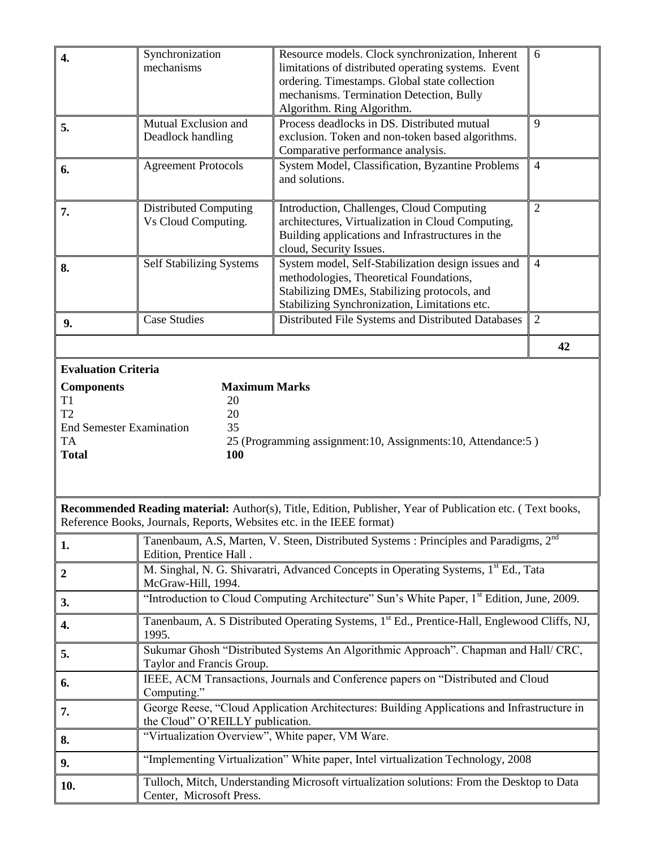| 4.                                                                                                 | Synchronization<br>Resource models. Clock synchronization, Inherent<br>6<br>mechanisms<br>limitations of distributed operating systems. Event<br>ordering. Timestamps. Global state collection<br>mechanisms. Termination Detection, Bully<br>Algorithm. Ring Algorithm. |                                                                                                                                                                                                                  |                |  |  |  |
|----------------------------------------------------------------------------------------------------|--------------------------------------------------------------------------------------------------------------------------------------------------------------------------------------------------------------------------------------------------------------------------|------------------------------------------------------------------------------------------------------------------------------------------------------------------------------------------------------------------|----------------|--|--|--|
| 5.                                                                                                 | Mutual Exclusion and<br>Deadlock handling                                                                                                                                                                                                                                | Process deadlocks in DS. Distributed mutual<br>exclusion. Token and non-token based algorithms.<br>Comparative performance analysis.                                                                             | 9              |  |  |  |
| 6.                                                                                                 | <b>Agreement Protocols</b>                                                                                                                                                                                                                                               | System Model, Classification, Byzantine Problems<br>and solutions.                                                                                                                                               | $\overline{4}$ |  |  |  |
| 7.                                                                                                 | <b>Distributed Computing</b><br>Vs Cloud Computing.                                                                                                                                                                                                                      | $\overline{2}$<br>Introduction, Challenges, Cloud Computing<br>architectures, Virtualization in Cloud Computing,<br>Building applications and Infrastructures in the<br>cloud, Security Issues.                  |                |  |  |  |
| 8.                                                                                                 | <b>Self Stabilizing Systems</b>                                                                                                                                                                                                                                          | System model, Self-Stabilization design issues and<br>$\overline{4}$<br>methodologies, Theoretical Foundations,<br>Stabilizing DMEs, Stabilizing protocols, and<br>Stabilizing Synchronization, Limitations etc. |                |  |  |  |
| 9.                                                                                                 | <b>Case Studies</b>                                                                                                                                                                                                                                                      | Distributed File Systems and Distributed Databases                                                                                                                                                               | $\overline{2}$ |  |  |  |
|                                                                                                    |                                                                                                                                                                                                                                                                          |                                                                                                                                                                                                                  | 42             |  |  |  |
| <b>Components</b><br>T1<br>T <sub>2</sub><br><b>End Semester Examination</b><br>TA<br><b>Total</b> | <b>Maximum Marks</b><br>20<br>20<br>35<br><b>100</b>                                                                                                                                                                                                                     | 25 (Programming assignment: 10, Assignments: 10, Attendance: 5)                                                                                                                                                  |                |  |  |  |
|                                                                                                    | Reference Books, Journals, Reports, Websites etc. in the IEEE format)                                                                                                                                                                                                    | Recommended Reading material: Author(s), Title, Edition, Publisher, Year of Publication etc. (Text books,                                                                                                        |                |  |  |  |
| 1.                                                                                                 | Edition, Prentice Hall.                                                                                                                                                                                                                                                  | Tanenbaum, A.S, Marten, V. Steen, Distributed Systems : Principles and Paradigms, 2 <sup>nd</sup>                                                                                                                |                |  |  |  |
| $\boldsymbol{2}$                                                                                   | McGraw-Hill, 1994.                                                                                                                                                                                                                                                       | M. Singhal, N. G. Shivaratri, Advanced Concepts in Operating Systems, 1st Ed., Tata                                                                                                                              |                |  |  |  |
| 3.                                                                                                 | "Introduction to Cloud Computing Architecture" Sun's White Paper, 1st Edition, June, 2009.                                                                                                                                                                               |                                                                                                                                                                                                                  |                |  |  |  |
| 4.                                                                                                 | Tanenbaum, A. S Distributed Operating Systems, 1st Ed., Prentice-Hall, Englewood Cliffs, NJ,<br>1995.                                                                                                                                                                    |                                                                                                                                                                                                                  |                |  |  |  |
| 5.                                                                                                 | Sukumar Ghosh "Distributed Systems An Algorithmic Approach". Chapman and Hall/ CRC,<br>Taylor and Francis Group.                                                                                                                                                         |                                                                                                                                                                                                                  |                |  |  |  |
| 6.                                                                                                 | IEEE, ACM Transactions, Journals and Conference papers on "Distributed and Cloud<br>Computing."                                                                                                                                                                          |                                                                                                                                                                                                                  |                |  |  |  |
| 7.                                                                                                 | the Cloud" O'REILLY publication.                                                                                                                                                                                                                                         | George Reese, "Cloud Application Architectures: Building Applications and Infrastructure in                                                                                                                      |                |  |  |  |
| 8.                                                                                                 | "Virtualization Overview", White paper, VM Ware.                                                                                                                                                                                                                         |                                                                                                                                                                                                                  |                |  |  |  |
| 9.                                                                                                 |                                                                                                                                                                                                                                                                          | "Implementing Virtualization" White paper, Intel virtualization Technology, 2008                                                                                                                                 |                |  |  |  |
| 10.                                                                                                | Tulloch, Mitch, Understanding Microsoft virtualization solutions: From the Desktop to Data<br>Center, Microsoft Press.                                                                                                                                                   |                                                                                                                                                                                                                  |                |  |  |  |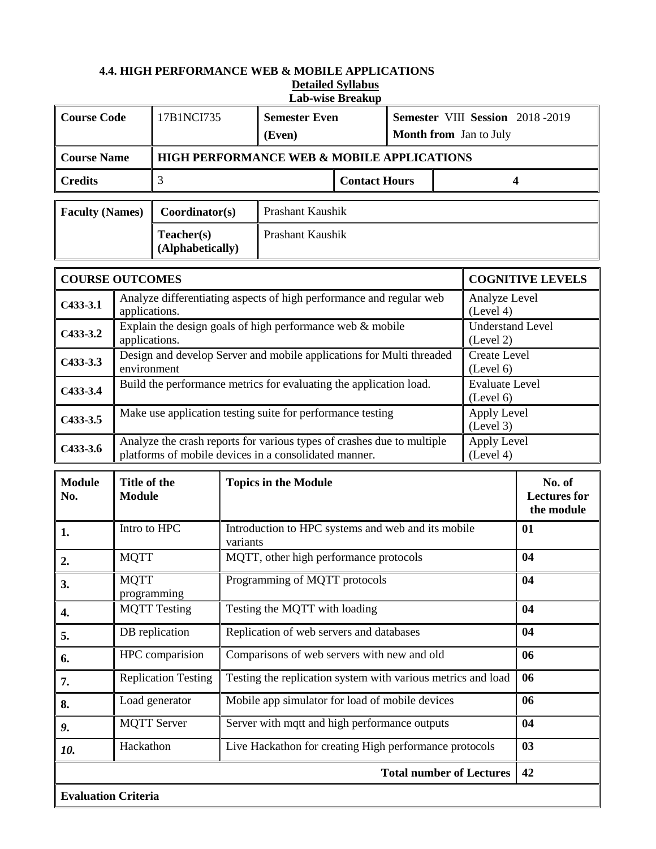#### **4.4. HIGH PERFORMANCE WEB & MOBILE APPLICATIONS Detailed Syllabus Lab-wise Breakup**

|                                          | <b>Course Code</b><br>17B1NCI735<br>Semester VIII Session 2018-2019<br><b>Semester Even</b><br>Month from Jan to July<br>(Even) |                     |                             |                                                                                                                                 |                      |    |  |                                             |                         |
|------------------------------------------|---------------------------------------------------------------------------------------------------------------------------------|---------------------|-----------------------------|---------------------------------------------------------------------------------------------------------------------------------|----------------------|----|--|---------------------------------------------|-------------------------|
| <b>Course Name</b>                       |                                                                                                                                 |                     |                             | HIGH PERFORMANCE WEB & MOBILE APPLICATIONS                                                                                      |                      |    |  |                                             |                         |
| <b>Credits</b>                           |                                                                                                                                 | 3                   |                             |                                                                                                                                 | <b>Contact Hours</b> |    |  | 4                                           |                         |
| <b>Faculty (Names)</b><br>Coordinator(s) |                                                                                                                                 |                     |                             | Prashant Kaushik                                                                                                                |                      |    |  |                                             |                         |
| Teacher(s)<br>(Alphabetically)           |                                                                                                                                 |                     |                             | <b>Prashant Kaushik</b>                                                                                                         |                      |    |  |                                             |                         |
| <b>COURSE OUTCOMES</b>                   |                                                                                                                                 |                     |                             |                                                                                                                                 |                      |    |  |                                             | <b>COGNITIVE LEVELS</b> |
| $C433-3.1$                               | applications.                                                                                                                   |                     |                             | Analyze differentiating aspects of high performance and regular web                                                             |                      |    |  | Analyze Level<br>(Level 4)                  |                         |
| $C433-3.2$                               | applications.                                                                                                                   |                     |                             | Explain the design goals of high performance web $&$ mobile                                                                     |                      |    |  | <b>Understand Level</b><br>(Level 2)        |                         |
| $C433-3.3$                               | environment                                                                                                                     |                     |                             | Design and develop Server and mobile applications for Multi threaded                                                            |                      |    |  | <b>Create Level</b><br>(Level 6)            |                         |
| $C433-3.4$                               |                                                                                                                                 |                     |                             | Build the performance metrics for evaluating the application load.                                                              |                      |    |  | <b>Evaluate Level</b><br>(Level 6)          |                         |
| $C433-3.5$                               | Make use application testing suite for performance testing<br>Apply Level<br>(Level 3)                                          |                     |                             |                                                                                                                                 |                      |    |  |                                             |                         |
| $C433-3.6$                               |                                                                                                                                 |                     |                             | Analyze the crash reports for various types of crashes due to multiple<br>platforms of mobile devices in a consolidated manner. |                      |    |  | Apply Level<br>(Level 4)                    |                         |
| <b>Module</b><br>No.                     | Title of the<br><b>Module</b>                                                                                                   |                     | <b>Topics in the Module</b> |                                                                                                                                 |                      |    |  | No. of<br><b>Lectures</b> for<br>the module |                         |
| 1.                                       | Intro to HPC                                                                                                                    |                     | variants                    | Introduction to HPC systems and web and its mobile                                                                              |                      |    |  |                                             | 01                      |
| 2.                                       | <b>MQTT</b>                                                                                                                     |                     |                             | MQTT, other high performance protocols                                                                                          |                      |    |  |                                             | 04                      |
| 3.                                       | <b>MOTT</b>                                                                                                                     | programming         |                             | Programming of MQTT protocols                                                                                                   |                      |    |  |                                             | 04                      |
| 4.                                       |                                                                                                                                 | <b>MQTT Testing</b> |                             | Testing the MQTT with loading                                                                                                   |                      |    |  |                                             | 04                      |
| 5.                                       |                                                                                                                                 | DB replication      |                             | Replication of web servers and databases                                                                                        |                      |    |  |                                             | 04                      |
| 6.                                       |                                                                                                                                 | HPC comparision     |                             | Comparisons of web servers with new and old                                                                                     |                      |    |  |                                             | 06                      |
| 7.                                       | <b>Replication Testing</b><br>Testing the replication system with various metrics and load                                      |                     |                             |                                                                                                                                 |                      | 06 |  |                                             |                         |
| 8.                                       | Mobile app simulator for load of mobile devices<br>Load generator                                                               |                     |                             |                                                                                                                                 | 06                   |    |  |                                             |                         |
| 9.                                       |                                                                                                                                 | <b>MQTT</b> Server  |                             | Server with mqtt and high performance outputs                                                                                   |                      |    |  |                                             | 04                      |
| 10.                                      | Hackathon                                                                                                                       |                     |                             | Live Hackathon for creating High performance protocols                                                                          |                      |    |  |                                             | 03                      |
|                                          |                                                                                                                                 |                     |                             |                                                                                                                                 |                      |    |  | <b>Total number of Lectures</b>             | 42                      |
| <b>Evaluation Criteria</b>               |                                                                                                                                 |                     |                             |                                                                                                                                 |                      |    |  |                                             |                         |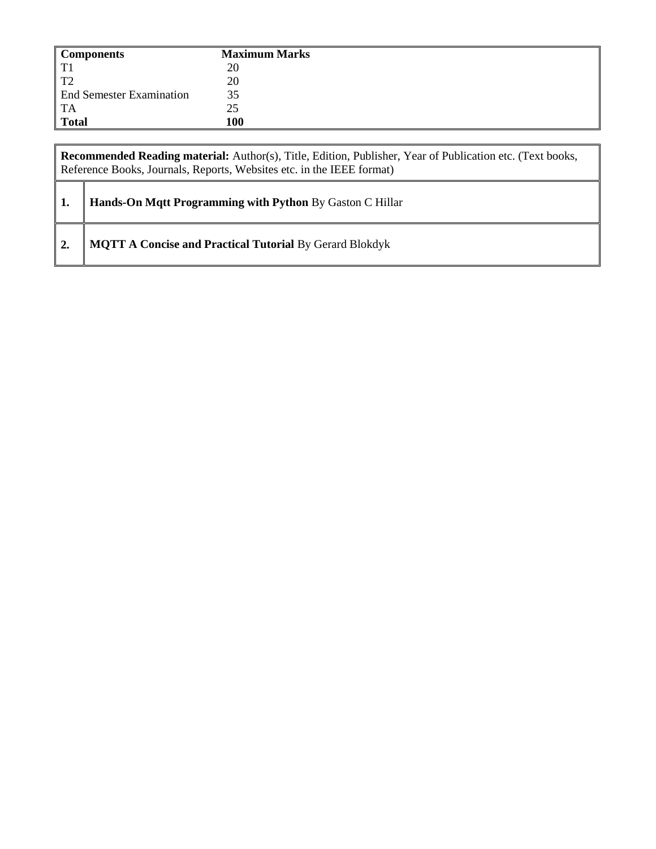| <b>Components</b>               | <b>Maximum Marks</b> |
|---------------------------------|----------------------|
| TT1                             | 20                   |
| T                               | 20                   |
| <b>End Semester Examination</b> | 35                   |
| <b>TA</b>                       | 25                   |
| <b>Total</b>                    | 100                  |

|                  | Recommended Reading material: Author(s), Title, Edition, Publisher, Year of Publication etc. (Text books,<br>Reference Books, Journals, Reports, Websites etc. in the IEEE format) |  |  |  |  |
|------------------|------------------------------------------------------------------------------------------------------------------------------------------------------------------------------------|--|--|--|--|
| 1.               | Hands-On Mqtt Programming with Python By Gaston C Hillar                                                                                                                           |  |  |  |  |
| $\overline{2}$ . | <b>MQTT A Concise and Practical Tutorial By Gerard Blokdyk</b>                                                                                                                     |  |  |  |  |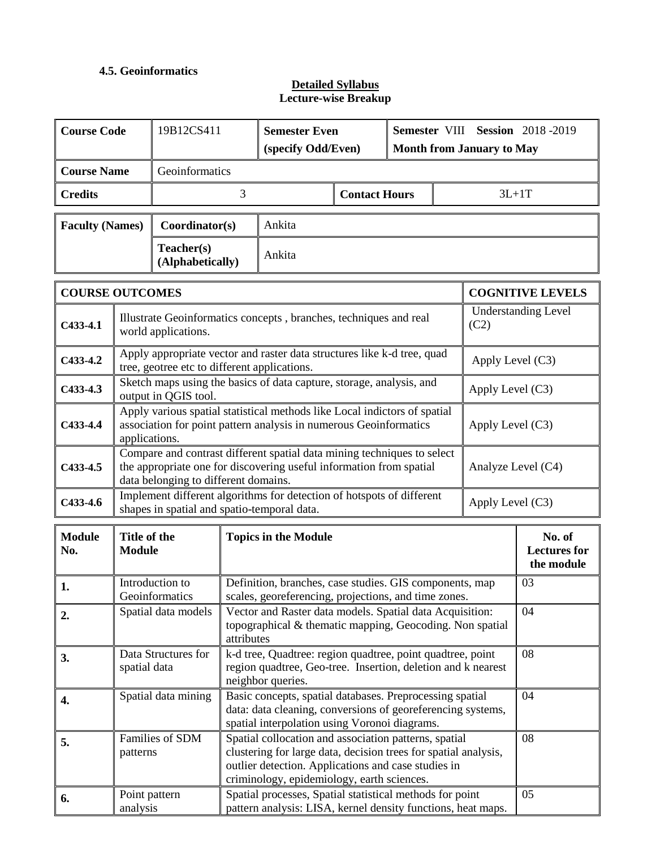# **4.5. Geoinformatics**

| <b>Course Code</b>     |                                                                                                                                                                                                              | 19B12CS411                                   |                                                                                                                                                                                                                                     | <b>Semester Even</b><br>(specify Odd/Even)                                                                               |                      |                         |         | Semester VIII Session 2018-2019<br><b>Month from January to May</b> |                                             |  |
|------------------------|--------------------------------------------------------------------------------------------------------------------------------------------------------------------------------------------------------------|----------------------------------------------|-------------------------------------------------------------------------------------------------------------------------------------------------------------------------------------------------------------------------------------|--------------------------------------------------------------------------------------------------------------------------|----------------------|-------------------------|---------|---------------------------------------------------------------------|---------------------------------------------|--|
| <b>Course Name</b>     |                                                                                                                                                                                                              | Geoinformatics                               |                                                                                                                                                                                                                                     |                                                                                                                          |                      |                         |         |                                                                     |                                             |  |
| <b>Credits</b>         |                                                                                                                                                                                                              |                                              | 3                                                                                                                                                                                                                                   |                                                                                                                          | <b>Contact Hours</b> |                         | $3L+1T$ |                                                                     |                                             |  |
| <b>Faculty (Names)</b> |                                                                                                                                                                                                              | Coordinator(s)                               |                                                                                                                                                                                                                                     | Ankita                                                                                                                   |                      |                         |         |                                                                     |                                             |  |
|                        |                                                                                                                                                                                                              | Teacher(s)<br>(Alphabetically)               |                                                                                                                                                                                                                                     | Ankita                                                                                                                   |                      |                         |         |                                                                     |                                             |  |
| <b>COURSE OUTCOMES</b> |                                                                                                                                                                                                              |                                              |                                                                                                                                                                                                                                     |                                                                                                                          |                      | <b>COGNITIVE LEVELS</b> |         |                                                                     |                                             |  |
| $C433-4.1$             |                                                                                                                                                                                                              | world applications.                          |                                                                                                                                                                                                                                     | Illustrate Geoinformatics concepts, branches, techniques and real                                                        |                      |                         |         | (C2)                                                                | <b>Understanding Level</b>                  |  |
| $C433-4.2$             |                                                                                                                                                                                                              | tree, geotree etc to different applications. |                                                                                                                                                                                                                                     | Apply appropriate vector and raster data structures like k-d tree, quad                                                  |                      |                         |         | Apply Level (C3)                                                    |                                             |  |
| $C433-4.3$             |                                                                                                                                                                                                              | output in QGIS tool.                         |                                                                                                                                                                                                                                     | Sketch maps using the basics of data capture, storage, analysis, and                                                     |                      |                         |         | Apply Level (C3)                                                    |                                             |  |
| $C433-4.4$             | Apply various spatial statistical methods like Local indictors of spatial<br>association for point pattern analysis in numerous Geoinformatics<br>Apply Level $(C3)$<br>applications.                        |                                              |                                                                                                                                                                                                                                     |                                                                                                                          |                      |                         |         |                                                                     |                                             |  |
| $C433-4.5$             | Compare and contrast different spatial data mining techniques to select<br>the appropriate one for discovering useful information from spatial<br>Analyze Level (C4)<br>data belonging to different domains. |                                              |                                                                                                                                                                                                                                     |                                                                                                                          |                      |                         |         |                                                                     |                                             |  |
| $C433-4.6$             |                                                                                                                                                                                                              | shapes in spatial and spatio-temporal data.  |                                                                                                                                                                                                                                     | Implement different algorithms for detection of hotspots of different                                                    |                      |                         |         | Apply Level (C3)                                                    |                                             |  |
| <b>Module</b><br>No.   | Title of the<br><b>Module</b>                                                                                                                                                                                |                                              |                                                                                                                                                                                                                                     | <b>Topics in the Module</b>                                                                                              |                      |                         |         |                                                                     | No. of<br><b>Lectures for</b><br>the module |  |
| 1.                     |                                                                                                                                                                                                              | Introduction to<br>Geoinformatics            |                                                                                                                                                                                                                                     | Definition, branches, case studies. GIS components, map<br>scales, georeferencing, projections, and time zones.          |                      |                         |         |                                                                     | 03                                          |  |
| 2.                     |                                                                                                                                                                                                              | Spatial data models                          | attributes                                                                                                                                                                                                                          | Vector and Raster data models. Spatial data Acquisition:<br>topographical & thematic mapping, Geocoding. Non spatial     |                      |                         |         |                                                                     | 04                                          |  |
| 3.                     | spatial data                                                                                                                                                                                                 | Data Structures for                          | k-d tree, Quadtree: region quadtree, point quadtree, point<br>08<br>region quadtree, Geo-tree. Insertion, deletion and k nearest<br>neighbor queries.                                                                               |                                                                                                                          |                      |                         |         |                                                                     |                                             |  |
| 4.                     |                                                                                                                                                                                                              | Spatial data mining                          | Basic concepts, spatial databases. Preprocessing spatial<br>04<br>data: data cleaning, conversions of georeferencing systems,<br>spatial interpolation using Voronoi diagrams.                                                      |                                                                                                                          |                      |                         |         |                                                                     |                                             |  |
| 5.                     | patterns                                                                                                                                                                                                     | Families of SDM                              | Spatial collocation and association patterns, spatial<br>08<br>clustering for large data, decision trees for spatial analysis,<br>outlier detection. Applications and case studies in<br>criminology, epidemiology, earth sciences. |                                                                                                                          |                      |                         |         |                                                                     |                                             |  |
| 6.                     | Point pattern<br>analysis                                                                                                                                                                                    |                                              |                                                                                                                                                                                                                                     | Spatial processes, Spatial statistical methods for point<br>pattern analysis: LISA, kernel density functions, heat maps. |                      |                         |         |                                                                     | 05                                          |  |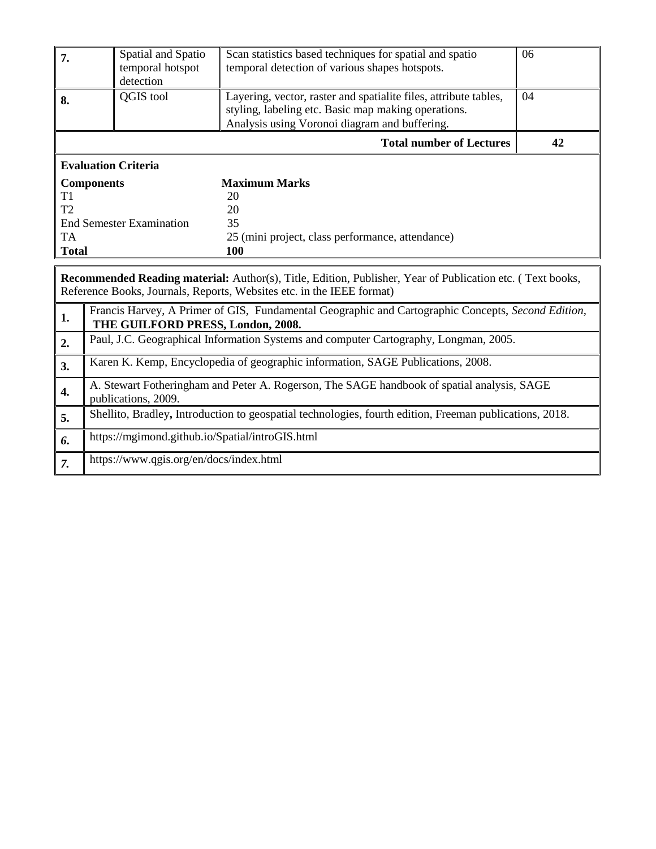| 7.                                                                                                               | Spatial and Spatio<br>temporal hotspot<br>detection                                                                                                                                          | Scan statistics based techniques for spatial and spatio<br>temporal detection of various shapes hotspots. | 06 |  |  |
|------------------------------------------------------------------------------------------------------------------|----------------------------------------------------------------------------------------------------------------------------------------------------------------------------------------------|-----------------------------------------------------------------------------------------------------------|----|--|--|
| 8.                                                                                                               | <b>QGIS</b> tool<br>Layering, vector, raster and spatialite files, attribute tables,<br>styling, labeling etc. Basic map making operations.<br>Analysis using Voronoi diagram and buffering. |                                                                                                           |    |  |  |
|                                                                                                                  |                                                                                                                                                                                              | <b>Total number of Lectures</b>                                                                           | 42 |  |  |
| <b>Evaluation Criteria</b>                                                                                       |                                                                                                                                                                                              |                                                                                                           |    |  |  |
| <b>Components</b>                                                                                                |                                                                                                                                                                                              | <b>Maximum Marks</b>                                                                                      |    |  |  |
| T1                                                                                                               |                                                                                                                                                                                              | 20                                                                                                        |    |  |  |
| T <sub>2</sub>                                                                                                   |                                                                                                                                                                                              | 20                                                                                                        |    |  |  |
|                                                                                                                  | <b>End Semester Examination</b>                                                                                                                                                              | 35                                                                                                        |    |  |  |
| TA.<br>25 (mini project, class performance, attendance)                                                          |                                                                                                                                                                                              |                                                                                                           |    |  |  |
| <b>Total</b>                                                                                                     |                                                                                                                                                                                              | 100                                                                                                       |    |  |  |
| <b>Recommended Reading material:</b> Author(s), Title, Edition, Publisher, Year of Publication etc. (Text books, |                                                                                                                                                                                              |                                                                                                           |    |  |  |

Reference Books, Journals, Reports, Websites etc. in the IEEE format)

| 1. | Francis Harvey, A Primer of GIS, Fundamental Geographic and Cartographic Concepts, Second Edition,<br>THE GUILFORD PRESS, London, 2008. |
|----|-----------------------------------------------------------------------------------------------------------------------------------------|
| 2. | Paul, J.C. Geographical Information Systems and computer Cartography, Longman, 2005.                                                    |
| 3. | Karen K. Kemp, Encyclopedia of geographic information, SAGE Publications, 2008.                                                         |
| 4. | A. Stewart Fotheringham and Peter A. Rogerson, The SAGE handbook of spatial analysis, SAGE<br>publications, 2009.                       |
| 5. | Shellito, Bradley, Introduction to geospatial technologies, fourth edition, Freeman publications, 2018.                                 |
| 6. | https://mgimond.github.io/Spatial/introGIS.html                                                                                         |
| 7. | https://www.qgis.org/en/docs/index.html                                                                                                 |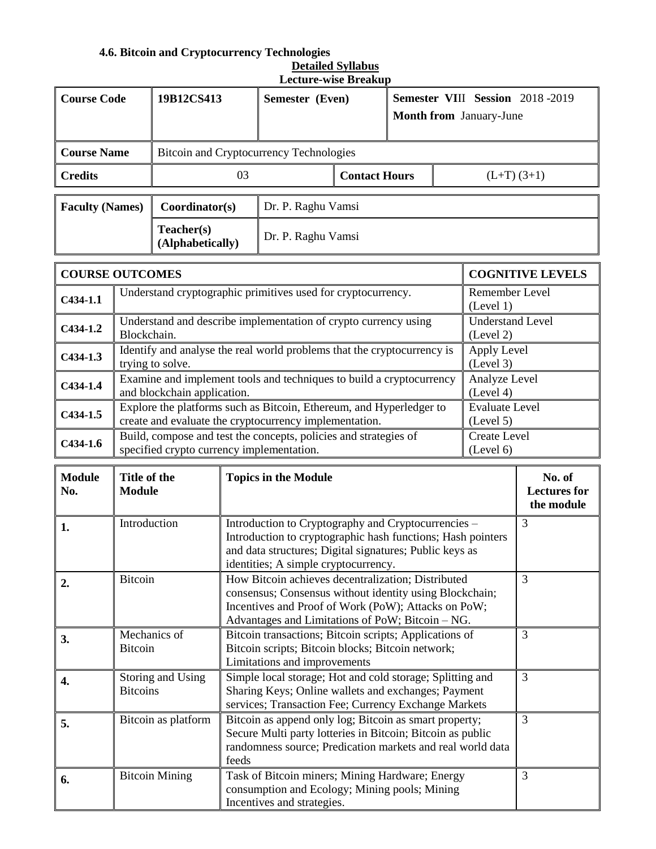# **4.6. Bitcoin and Cryptocurrency Technologies**

| <b>Detailed Syllabus</b>    |
|-----------------------------|
| <b>Lecture-wise Breakup</b> |

| <b>Course Code</b>     |                                                                                                                                                                                                                                                                                         | 19B12CS413                                                                                                                                                                         |                                                                                                                                                                                                  | Semester (Even)<br>Month from January-June                              |                      | Semester VIII Session 2018-2019  |                                             |                                         |                         |
|------------------------|-----------------------------------------------------------------------------------------------------------------------------------------------------------------------------------------------------------------------------------------------------------------------------------------|------------------------------------------------------------------------------------------------------------------------------------------------------------------------------------|--------------------------------------------------------------------------------------------------------------------------------------------------------------------------------------------------|-------------------------------------------------------------------------|----------------------|----------------------------------|---------------------------------------------|-----------------------------------------|-------------------------|
| <b>Course Name</b>     |                                                                                                                                                                                                                                                                                         |                                                                                                                                                                                    |                                                                                                                                                                                                  | Bitcoin and Cryptocurrency Technologies                                 |                      |                                  |                                             |                                         |                         |
| <b>Credits</b>         |                                                                                                                                                                                                                                                                                         |                                                                                                                                                                                    | 03                                                                                                                                                                                               |                                                                         | <b>Contact Hours</b> |                                  |                                             | $(L+T)$ (3+1)                           |                         |
| <b>Faculty (Names)</b> |                                                                                                                                                                                                                                                                                         | Coordinator(s)                                                                                                                                                                     |                                                                                                                                                                                                  | Dr. P. Raghu Vamsi                                                      |                      |                                  |                                             |                                         |                         |
|                        |                                                                                                                                                                                                                                                                                         | Teacher(s)<br>(Alphabetically)                                                                                                                                                     |                                                                                                                                                                                                  | Dr. P. Raghu Vamsi                                                      |                      |                                  |                                             |                                         |                         |
| <b>COURSE OUTCOMES</b> |                                                                                                                                                                                                                                                                                         |                                                                                                                                                                                    |                                                                                                                                                                                                  |                                                                         |                      |                                  |                                             |                                         | <b>COGNITIVE LEVELS</b> |
| $C434-1.1$             |                                                                                                                                                                                                                                                                                         |                                                                                                                                                                                    |                                                                                                                                                                                                  | Understand cryptographic primitives used for cryptocurrency.            |                      |                                  |                                             | Remember Level<br>(Level 1)             |                         |
| $C434-1.2$             |                                                                                                                                                                                                                                                                                         |                                                                                                                                                                                    |                                                                                                                                                                                                  | Understand and describe implementation of crypto currency using         |                      |                                  |                                             | Understand Level                        |                         |
| $C434-1.3$             | Blockchain.                                                                                                                                                                                                                                                                             |                                                                                                                                                                                    |                                                                                                                                                                                                  | Identify and analyse the real world problems that the cryptocurrency is |                      |                                  |                                             | (Level 2)<br>Apply Level                |                         |
| $C434-1.4$             |                                                                                                                                                                                                                                                                                         | trying to solve.<br>and blockchain application.                                                                                                                                    |                                                                                                                                                                                                  | Examine and implement tools and techniques to build a cryptocurrency    |                      |                                  |                                             | (Level 3)<br>Analyze Level<br>(Level 4) |                         |
| $C434-1.5$             |                                                                                                                                                                                                                                                                                         |                                                                                                                                                                                    |                                                                                                                                                                                                  | Explore the platforms such as Bitcoin, Ethereum, and Hyperledger to     |                      |                                  |                                             | <b>Evaluate Level</b><br>(Level 5)      |                         |
| $C434-1.6$             | create and evaluate the cryptocurrency implementation.<br>Build, compose and test the concepts, policies and strategies of<br>specified crypto currency implementation.                                                                                                                 |                                                                                                                                                                                    |                                                                                                                                                                                                  |                                                                         |                      | <b>Create Level</b><br>(Level 6) |                                             |                                         |                         |
| <b>Module</b><br>No.   |                                                                                                                                                                                                                                                                                         | Title of the<br><b>Topics in the Module</b><br><b>Module</b>                                                                                                                       |                                                                                                                                                                                                  |                                                                         |                      |                                  | No. of<br><b>Lectures</b> for<br>the module |                                         |                         |
| 1.                     | Introduction                                                                                                                                                                                                                                                                            | 3<br>Introduction to Cryptography and Cryptocurrencies -<br>Introduction to cryptographic hash functions; Hash pointers<br>and data structures; Digital signatures; Public keys as |                                                                                                                                                                                                  |                                                                         |                      |                                  |                                             |                                         |                         |
| 2.                     | identities; A simple cryptocurrency.<br><b>Bitcoin</b><br>How Bitcoin achieves decentralization; Distributed<br>3<br>consensus; Consensus without identity using Blockchain;<br>Incentives and Proof of Work (PoW); Attacks on PoW;<br>Advantages and Limitations of PoW; Bitcoin - NG. |                                                                                                                                                                                    |                                                                                                                                                                                                  |                                                                         |                      |                                  |                                             |                                         |                         |
| 3.                     | 3<br>Mechanics of<br>Bitcoin transactions; Bitcoin scripts; Applications of<br><b>Bitcoin</b><br>Bitcoin scripts; Bitcoin blocks; Bitcoin network;<br>Limitations and improvements                                                                                                      |                                                                                                                                                                                    |                                                                                                                                                                                                  |                                                                         |                      |                                  |                                             |                                         |                         |
| 4.                     | 3<br>Storing and Using<br>Simple local storage; Hot and cold storage; Splitting and<br>Sharing Keys; Online wallets and exchanges; Payment<br><b>Bitcoins</b><br>services; Transaction Fee; Currency Exchange Markets                                                                   |                                                                                                                                                                                    |                                                                                                                                                                                                  |                                                                         |                      |                                  |                                             |                                         |                         |
| 5.                     |                                                                                                                                                                                                                                                                                         | Bitcoin as platform                                                                                                                                                                | 3<br>Bitcoin as append only log; Bitcoin as smart property;<br>Secure Multi party lotteries in Bitcoin; Bitcoin as public<br>randomness source; Predication markets and real world data<br>feeds |                                                                         |                      |                                  |                                             |                                         |                         |
| 6.                     |                                                                                                                                                                                                                                                                                         | <b>Bitcoin Mining</b><br>Task of Bitcoin miners; Mining Hardware; Energy<br>3<br>consumption and Ecology; Mining pools; Mining<br>Incentives and strategies.                       |                                                                                                                                                                                                  |                                                                         |                      |                                  |                                             |                                         |                         |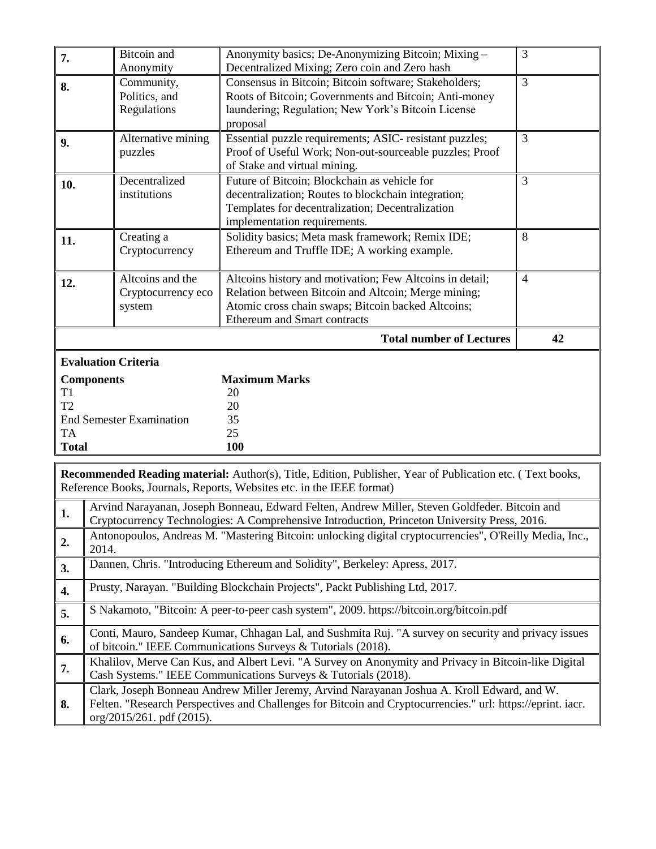| 7.                                                                                 | <b>Bitcoin</b> and<br>Anonymity            | Anonymity basics; De-Anonymizing Bitcoin; Mixing -<br>Decentralized Mixing; Zero coin and Zero hash                                                                                                          | 3              |
|------------------------------------------------------------------------------------|--------------------------------------------|--------------------------------------------------------------------------------------------------------------------------------------------------------------------------------------------------------------|----------------|
| 8.                                                                                 | Community,<br>Politics, and<br>Regulations | Consensus in Bitcoin; Bitcoin software; Stakeholders;<br>Roots of Bitcoin; Governments and Bitcoin; Anti-money<br>laundering; Regulation; New York's Bitcoin License<br>proposal                             | 3              |
| 9.                                                                                 | Alternative mining<br>puzzles              | Essential puzzle requirements; ASIC- resistant puzzles;<br>Proof of Useful Work; Non-out-sourceable puzzles; Proof<br>of Stake and virtual mining.                                                           | 3              |
| 10.                                                                                | Decentralized<br>institutions              | Future of Bitcoin; Blockchain as vehicle for<br>decentralization; Routes to blockchain integration;<br>Templates for decentralization; Decentralization<br>implementation requirements.                      | $\overline{3}$ |
| 11.                                                                                | Creating a<br>Cryptocurrency               | Solidity basics; Meta mask framework; Remix IDE;<br>Ethereum and Truffle IDE; A working example.                                                                                                             | 8              |
| Alteoins and the<br>12.<br>Cryptocurrency eco<br>system                            |                                            | Altcoins history and motivation; Few Altcoins in detail;<br>Relation between Bitcoin and Altcoin; Merge mining;<br>Atomic cross chain swaps; Bitcoin backed Altcoins;<br><b>Ethereum and Smart contracts</b> | $\overline{4}$ |
|                                                                                    |                                            | <b>Total number of Lectures</b>                                                                                                                                                                              | 42             |
| <b>Evaluation Criteria</b>                                                         |                                            |                                                                                                                                                                                                              |                |
| <b>Components</b><br>T <sub>1</sub><br>T <sub>2</sub><br><b>TA</b><br><b>Total</b> | <b>End Semester Examination</b>            | <b>Maximum Marks</b><br>20<br>20<br>35<br>25<br>100                                                                                                                                                          |                |

**Recommended Reading material:** Author(s), Title, Edition, Publisher, Year of Publication etc. ( Text books, Reference Books, Journals, Reports, Websites etc. in the IEEE format)

| 1. | Arvind Narayanan, Joseph Bonneau, Edward Felten, Andrew Miller, Steven Goldfeder. Bitcoin and<br>Cryptocurrency Technologies: A Comprehensive Introduction, Princeton University Press, 2016.                                              |
|----|--------------------------------------------------------------------------------------------------------------------------------------------------------------------------------------------------------------------------------------------|
| 2. | Antonopoulos, Andreas M. "Mastering Bitcoin: unlocking digital cryptocurrencies", O'Reilly Media, Inc.,<br>2014.                                                                                                                           |
| 3. | Dannen, Chris. "Introducing Ethereum and Solidity", Berkeley: Apress, 2017.                                                                                                                                                                |
| 4. | Prusty, Narayan. "Building Blockchain Projects", Packt Publishing Ltd, 2017.                                                                                                                                                               |
| 5. | S Nakamoto, "Bitcoin: A peer-to-peer cash system", 2009. https://bitcoin.org/bitcoin.pdf                                                                                                                                                   |
| 6. | Conti, Mauro, Sandeep Kumar, Chhagan Lal, and Sushmita Ruj. "A survey on security and privacy issues<br>of bitcoin." IEEE Communications Surveys & Tutorials (2018).                                                                       |
| 7. | Khalilov, Merve Can Kus, and Albert Levi. "A Survey on Anonymity and Privacy in Bitcoin-like Digital<br>Cash Systems." IEEE Communications Surveys & Tutorials (2018).                                                                     |
| 8. | Clark, Joseph Bonneau Andrew Miller Jeremy, Arvind Narayanan Joshua A. Kroll Edward, and W.<br>Felten. "Research Perspectives and Challenges for Bitcoin and Cryptocurrencies." url: https://eprint. iacr.<br>org/2015/261. pdf $(2015)$ . |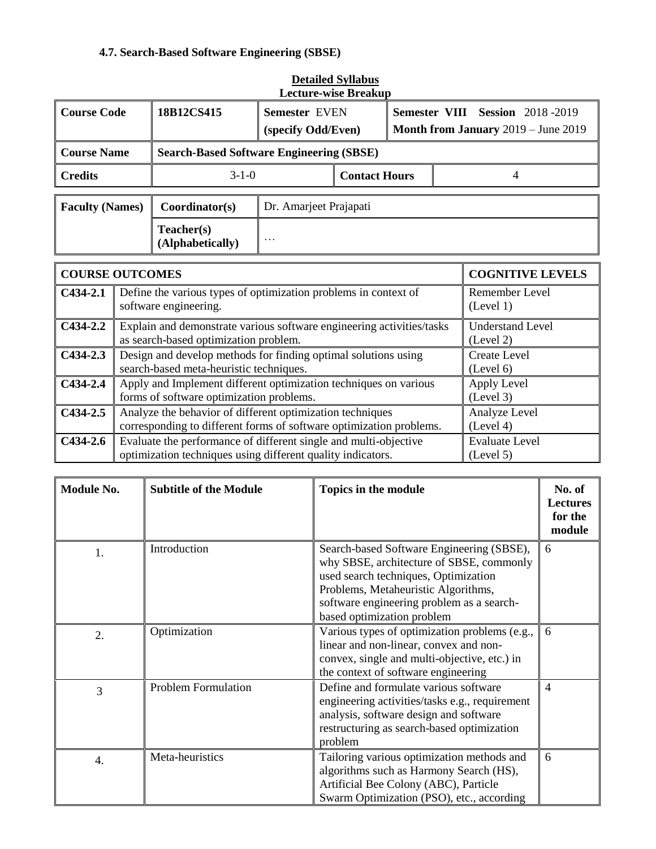# **4.7. Search-Based Software Engineering (SBSE)**

| <b>Lecture-wise Breakup</b> |                                                                                                                                               |                                                                                                                                  |                                            |  |                                                                               |  |                         |
|-----------------------------|-----------------------------------------------------------------------------------------------------------------------------------------------|----------------------------------------------------------------------------------------------------------------------------------|--------------------------------------------|--|-------------------------------------------------------------------------------|--|-------------------------|
| <b>Course Code</b>          |                                                                                                                                               | 18B12CS415                                                                                                                       | <b>Semester EVEN</b><br>(specify Odd/Even) |  | <b>Semester VIII Session 2018-2019</b><br>Month from January 2019 - June 2019 |  |                         |
| <b>Course Name</b>          |                                                                                                                                               | <b>Search-Based Software Engineering (SBSE)</b>                                                                                  |                                            |  |                                                                               |  |                         |
| <b>Credits</b>              |                                                                                                                                               |                                                                                                                                  | $3-1-0$                                    |  | <b>Contact Hours</b><br>4                                                     |  |                         |
| <b>Faculty (Names)</b>      |                                                                                                                                               | Coordinator(s)                                                                                                                   | Dr. Amarjeet Prajapati                     |  |                                                                               |  |                         |
|                             |                                                                                                                                               | Teacher(s)<br>(Alphabetically)                                                                                                   | $\cdots$                                   |  |                                                                               |  |                         |
| <b>COURSE OUTCOMES</b>      |                                                                                                                                               |                                                                                                                                  |                                            |  |                                                                               |  | <b>COGNITIVE LEVELS</b> |
| $C434-2.1$                  | Define the various types of optimization problems in context of<br>software engineering.                                                      |                                                                                                                                  |                                            |  | Remember Level<br>(Level 1)                                                   |  |                         |
| $C434-2.2$                  | Explain and demonstrate various software engineering activities/tasks<br>as search-based optimization problem.                                |                                                                                                                                  |                                            |  | <b>Understand Level</b><br>(Level 2)                                          |  |                         |
| $C434-2.3$                  | Design and develop methods for finding optimal solutions using<br><b>Create Level</b><br>search-based meta-heuristic techniques.<br>(Level 6) |                                                                                                                                  |                                            |  |                                                                               |  |                         |
| $C434-2.4$                  | Apply and Implement different optimization techniques on various<br>Apply Level<br>forms of software optimization problems.<br>(Level 3)      |                                                                                                                                  |                                            |  |                                                                               |  |                         |
| $C434-2.5$                  |                                                                                                                                               | Analyze the behavior of different optimization techniques<br>corresponding to different forms of software optimization problems. |                                            |  | Analyze Level<br>(Level 4)                                                    |  |                         |
| $C434-2.6$                  | Evaluate the performance of different single and multi-objective<br>optimization techniques using different quality indicators.               |                                                                                                                                  |                                            |  | <b>Evaluate Level</b><br>(Level 5)                                            |  |                         |

| <b>Detailed Syllabus</b> |
|--------------------------|
| Lecture-wise Rreakun     |

| Module No.       | <b>Subtitle of the Module</b> | Topics in the module                                                                                                                                                                                                                            | No. of<br><b>Lectures</b><br>for the<br>module |
|------------------|-------------------------------|-------------------------------------------------------------------------------------------------------------------------------------------------------------------------------------------------------------------------------------------------|------------------------------------------------|
| 1.               | Introduction                  | Search-based Software Engineering (SBSE),<br>why SBSE, architecture of SBSE, commonly<br>used search techniques, Optimization<br>Problems, Metaheuristic Algorithms,<br>software engineering problem as a search-<br>based optimization problem | 6                                              |
| $\overline{2}$ . | Optimization                  | Various types of optimization problems (e.g.,<br>linear and non-linear, convex and non-<br>convex, single and multi-objective, etc.) in<br>the context of software engineering                                                                  | 6                                              |
| 3                | <b>Problem Formulation</b>    | Define and formulate various software<br>engineering activities/tasks e.g., requirement<br>analysis, software design and software<br>restructuring as search-based optimization<br>problem                                                      | $\overline{4}$                                 |
| 4.               | Meta-heuristics               | Tailoring various optimization methods and<br>algorithms such as Harmony Search (HS),<br>Artificial Bee Colony (ABC), Particle<br>Swarm Optimization (PSO), etc., according                                                                     | 6                                              |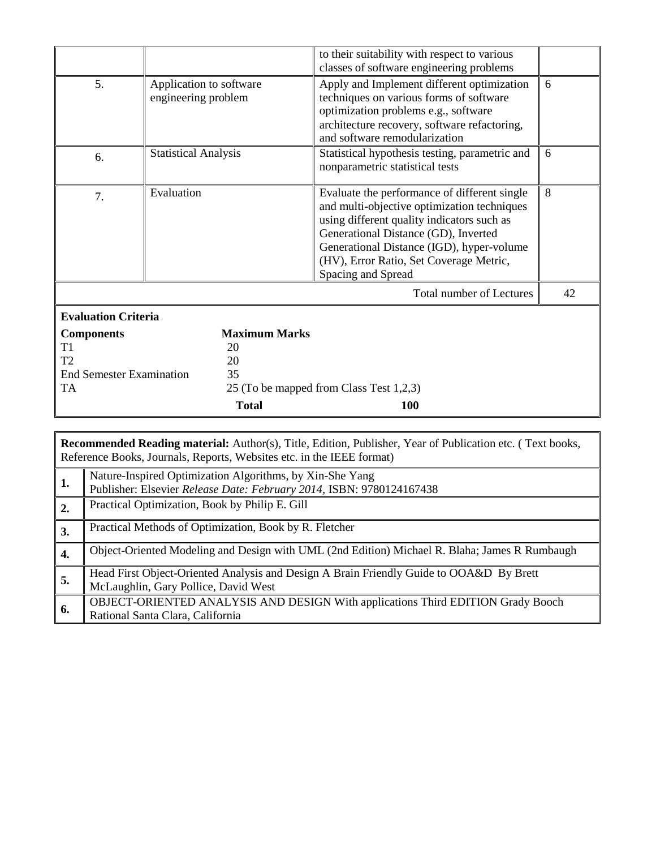|                                 |                                                |                      | to their suitability with respect to various                                                                                                                                                                                                                                                    |    |
|---------------------------------|------------------------------------------------|----------------------|-------------------------------------------------------------------------------------------------------------------------------------------------------------------------------------------------------------------------------------------------------------------------------------------------|----|
|                                 |                                                |                      | classes of software engineering problems                                                                                                                                                                                                                                                        |    |
| 5.                              | Application to software<br>engineering problem |                      | Apply and Implement different optimization<br>techniques on various forms of software                                                                                                                                                                                                           | 6  |
|                                 |                                                |                      | optimization problems e.g., software<br>architecture recovery, software refactoring,<br>and software remodularization                                                                                                                                                                           |    |
| 6.                              | <b>Statistical Analysis</b>                    |                      | Statistical hypothesis testing, parametric and<br>nonparametric statistical tests                                                                                                                                                                                                               | 6  |
| 7.                              | Evaluation                                     |                      | Evaluate the performance of different single<br>and multi-objective optimization techniques<br>using different quality indicators such as<br>Generational Distance (GD), Inverted<br>Generational Distance (IGD), hyper-volume<br>(HV), Error Ratio, Set Coverage Metric,<br>Spacing and Spread | 8  |
|                                 |                                                |                      | <b>Total number of Lectures</b>                                                                                                                                                                                                                                                                 | 42 |
| <b>Evaluation Criteria</b>      |                                                |                      |                                                                                                                                                                                                                                                                                                 |    |
| <b>Components</b>               |                                                | <b>Maximum Marks</b> |                                                                                                                                                                                                                                                                                                 |    |
| T1                              |                                                | 20                   |                                                                                                                                                                                                                                                                                                 |    |
| T <sub>2</sub>                  |                                                | 20                   |                                                                                                                                                                                                                                                                                                 |    |
| <b>End Semester Examination</b> |                                                | 35                   |                                                                                                                                                                                                                                                                                                 |    |
| <b>TA</b>                       |                                                |                      | 25 (To be mapped from Class Test 1,2,3)                                                                                                                                                                                                                                                         |    |
|                                 |                                                | <b>Total</b>         | <b>100</b>                                                                                                                                                                                                                                                                                      |    |

|    | <b>Recommended Reading material:</b> Author(s), Title, Edition, Publisher, Year of Publication etc. (Text books,<br>Reference Books, Journals, Reports, Websites etc. in the IEEE format) |  |  |  |  |  |  |  |
|----|-------------------------------------------------------------------------------------------------------------------------------------------------------------------------------------------|--|--|--|--|--|--|--|
| 1. | Nature-Inspired Optimization Algorithms, by Xin-She Yang<br>Publisher: Elsevier Release Date: February 2014, ISBN: 9780124167438                                                          |  |  |  |  |  |  |  |
| 2. | Practical Optimization, Book by Philip E. Gill                                                                                                                                            |  |  |  |  |  |  |  |
| 3. | Practical Methods of Optimization, Book by R. Fletcher                                                                                                                                    |  |  |  |  |  |  |  |
| 4. | Object-Oriented Modeling and Design with UML (2nd Edition) Michael R. Blaha; James R Rumbaugh                                                                                             |  |  |  |  |  |  |  |
| 5. | Head First Object-Oriented Analysis and Design A Brain Friendly Guide to OOA&D By Brett<br>McLaughlin, Gary Pollice, David West                                                           |  |  |  |  |  |  |  |
| 6. | OBJECT-ORIENTED ANALYSIS AND DESIGN With applications Third EDITION Grady Booch<br>Rational Santa Clara, California                                                                       |  |  |  |  |  |  |  |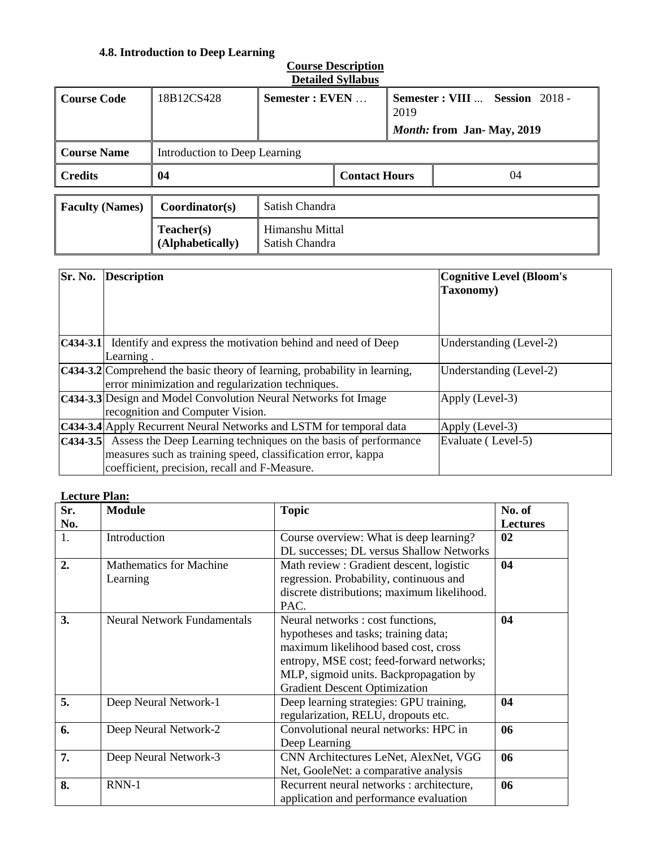# **4.8. Introduction to Deep Learning**

| <b>Detailed Syllabus</b> |                                |                                   |  |                                                                             |    |  |  |
|--------------------------|--------------------------------|-----------------------------------|--|-----------------------------------------------------------------------------|----|--|--|
| <b>Course Code</b>       | 18B12CS428                     | Semester : EVEN                   |  | Semester : VIII  Session 2018 -<br>2019<br><i>Month:</i> from Jan-May, 2019 |    |  |  |
| <b>Course Name</b>       | Introduction to Deep Learning  |                                   |  |                                                                             |    |  |  |
| <b>Credits</b>           | 04                             | <b>Contact Hours</b>              |  |                                                                             | 04 |  |  |
| <b>Faculty (Names)</b>   | Coordinator(s)                 | Satish Chandra                    |  |                                                                             |    |  |  |
|                          | Teacher(s)<br>(Alphabetically) | Himanshu Mittal<br>Satish Chandra |  |                                                                             |    |  |  |

| Sr. No.     | <b>Description</b>                                                                                                                                                               | <b>Cognitive Level (Bloom's</b><br>Taxonomy) |
|-------------|----------------------------------------------------------------------------------------------------------------------------------------------------------------------------------|----------------------------------------------|
|             |                                                                                                                                                                                  |                                              |
|             | <b>C434-3.1</b> Identify and express the motivation behind and need of Deep<br>Learning.                                                                                         | Understanding (Level-2)                      |
|             | C434-3.2 Comprehend the basic theory of learning, probability in learning,<br>error minimization and regularization techniques.                                                  | Understanding (Level-2)                      |
|             | C434-3.3 Design and Model Convolution Neural Networks fot Image<br>recognition and Computer Vision.                                                                              | Apply (Level-3)                              |
|             | C434-3.4 Apply Recurrent Neural Networks and LSTM for temporal data                                                                                                              | Apply (Level-3)                              |
| $C$ 434-3.5 | Assess the Deep Learning techniques on the basis of performance<br>measures such as training speed, classification error, kappa<br>coefficient, precision, recall and F-Measure. | Evaluate (Level-5)                           |

#### **Lecture Plan:**

| Sr. | <b>Module</b>                      | <b>Topic</b>                                | No. of          |
|-----|------------------------------------|---------------------------------------------|-----------------|
| No. |                                    |                                             | <b>Lectures</b> |
| 1.  | Introduction                       | Course overview: What is deep learning?     | 02              |
|     |                                    | DL successes; DL versus Shallow Networks    |                 |
| 2.  | <b>Mathematics for Machine</b>     | Math review : Gradient descent, logistic    | 04              |
|     | Learning                           | regression. Probability, continuous and     |                 |
|     |                                    | discrete distributions; maximum likelihood. |                 |
|     |                                    | PAC.                                        |                 |
| 3.  | <b>Neural Network Fundamentals</b> | Neural networks : cost functions,           | 04              |
|     |                                    | hypotheses and tasks; training data;        |                 |
|     |                                    | maximum likelihood based cost, cross        |                 |
|     |                                    | entropy, MSE cost; feed-forward networks;   |                 |
|     |                                    | MLP, sigmoid units. Backpropagation by      |                 |
|     |                                    | <b>Gradient Descent Optimization</b>        |                 |
| 5.  | Deep Neural Network-1              | Deep learning strategies: GPU training,     | 04              |
|     |                                    | regularization, RELU, dropouts etc.         |                 |
| 6.  | Deep Neural Network-2              | Convolutional neural networks: HPC in       | 06              |
|     |                                    | Deep Learning                               |                 |
| 7.  | Deep Neural Network-3              | CNN Architectures LeNet, AlexNet, VGG       | 06              |
|     |                                    | Net, GooleNet: a comparative analysis       |                 |
| 8.  | RNN-1                              | Recurrent neural networks : architecture,   | 06              |
|     |                                    | application and performance evaluation      |                 |

# **Course Description**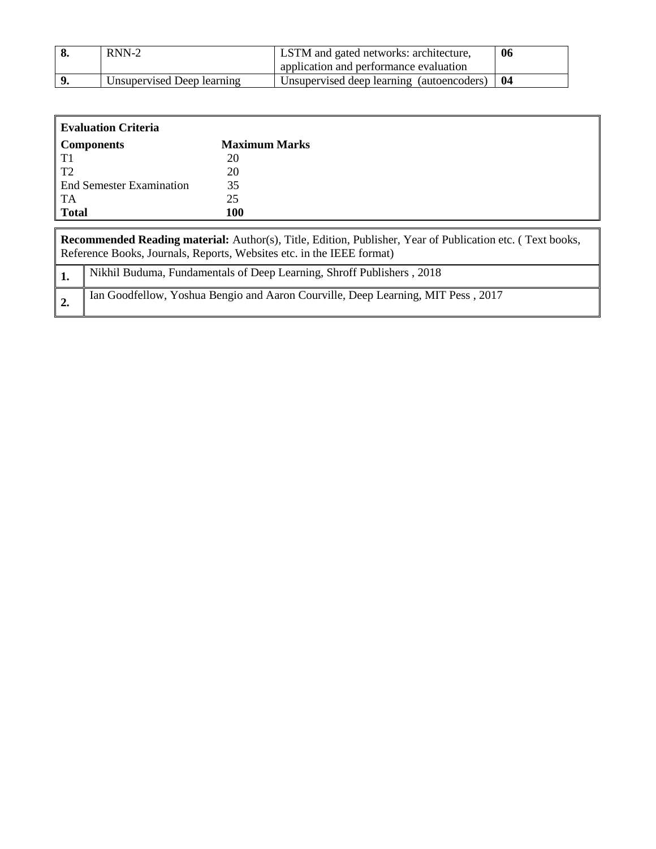| $RNN-2$                    | LSTM and gated networks: architecture,    | 06 |
|----------------------------|-------------------------------------------|----|
|                            | application and performance evaluation    |    |
| Unsupervised Deep learning | Unsupervised deep learning (autoencoders) | 04 |

| <b>Evaluation Criteria</b>      |                      |  |  |
|---------------------------------|----------------------|--|--|
| <b>Components</b>               | <b>Maximum Marks</b> |  |  |
| T1                              | 20                   |  |  |
| T <sub>2</sub>                  | 20                   |  |  |
| <b>End Semester Examination</b> | 35                   |  |  |
| TA                              | 25                   |  |  |
| <b>Total</b>                    | 100                  |  |  |

| <b>Recommended Reading material:</b> Author(s), Title, Edition, Publisher, Year of Publication etc. (Text books,<br>Reference Books, Journals, Reports, Websites etc. in the IEEE format) |                                                                                  |  |
|-------------------------------------------------------------------------------------------------------------------------------------------------------------------------------------------|----------------------------------------------------------------------------------|--|
|                                                                                                                                                                                           | Nikhil Buduma, Fundamentals of Deep Learning, Shroff Publishers, 2018            |  |
|                                                                                                                                                                                           | Ian Goodfellow, Yoshua Bengio and Aaron Courville, Deep Learning, MIT Pess, 2017 |  |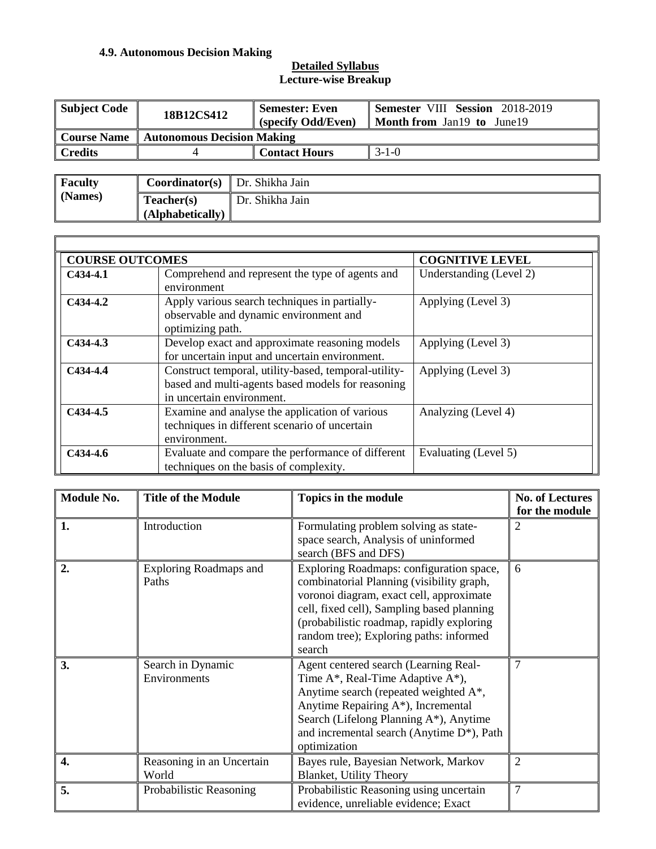### **4.9. Autonomous Decision Making**

| Subject Code   | 18B12CS412                            | <b>Semester: Even</b><br>(specify Odd/Even) | Semester VIII Session 2018-2019<br><b>Month from Jan19 to June19</b> |
|----------------|---------------------------------------|---------------------------------------------|----------------------------------------------------------------------|
| Course Name    | Autonomous Decision Making            |                                             |                                                                      |
| <b>Credits</b> |                                       | <b>Contact Hours</b>                        | $3-1-0$                                                              |
|                |                                       |                                             |                                                                      |
| <b>Faculty</b> | <b>Coordinator(s)</b> Dr. Shikha Jain |                                             |                                                                      |

| <b>Faculty</b> | <b>Coordinator(s)</b> Dr. Shikha Jain |                 |
|----------------|---------------------------------------|-----------------|
| (Names)        | Teacher(s)                            | Dr. Shikha Jain |
|                | (Alphabetically)                      |                 |

| <b>COURSE OUTCOMES</b> |                                                                                                                                        | <b>COGNITIVE LEVEL</b>  |
|------------------------|----------------------------------------------------------------------------------------------------------------------------------------|-------------------------|
| $C434-4.1$             | Comprehend and represent the type of agents and<br>environment                                                                         | Understanding (Level 2) |
| $C434-4.2$             | Apply various search techniques in partially-<br>observable and dynamic environment and<br>optimizing path.                            | Applying (Level 3)      |
| $C434-4.3$             | Develop exact and approximate reasoning models<br>for uncertain input and uncertain environment.                                       | Applying (Level 3)      |
| $C434-4.4$             | Construct temporal, utility-based, temporal-utility-<br>based and multi-agents based models for reasoning<br>in uncertain environment. | Applying (Level 3)      |
| $C434-4.5$             | Examine and analyse the application of various<br>techniques in different scenario of uncertain<br>environment.                        | Analyzing (Level 4)     |
| C434-4.6               | Evaluate and compare the performance of different<br>techniques on the basis of complexity.                                            | Evaluating (Level 5)    |

| Module No. | <b>Title of the Module</b>         | Topics in the module                                                                                                                                                                                                                                                              | <b>No. of Lectures</b><br>for the module |
|------------|------------------------------------|-----------------------------------------------------------------------------------------------------------------------------------------------------------------------------------------------------------------------------------------------------------------------------------|------------------------------------------|
| 1.         | Introduction                       | Formulating problem solving as state-<br>space search, Analysis of uninformed<br>search (BFS and DFS)                                                                                                                                                                             | 2                                        |
| 2.         | Exploring Roadmaps and<br>Paths    | Exploring Roadmaps: configuration space,<br>combinatorial Planning (visibility graph,<br>voronoi diagram, exact cell, approximate<br>cell, fixed cell), Sampling based planning<br>(probabilistic roadmap, rapidly exploring<br>random tree); Exploring paths: informed<br>search | 6                                        |
| 3.         | Search in Dynamic<br>Environments  | Agent centered search (Learning Real-<br>Time A*, Real-Time Adaptive A*),<br>Anytime search (repeated weighted A*,<br>Anytime Repairing A*), Incremental<br>Search (Lifelong Planning A*), Anytime<br>and incremental search (Anytime D <sup>*</sup> ), Path<br>optimization      | $\overline{7}$                           |
| 4.         | Reasoning in an Uncertain<br>World | Bayes rule, Bayesian Network, Markov<br><b>Blanket, Utility Theory</b>                                                                                                                                                                                                            | $\overline{2}$                           |
| 5.         | Probabilistic Reasoning            | Probabilistic Reasoning using uncertain<br>evidence, unreliable evidence; Exact                                                                                                                                                                                                   | $\overline{7}$                           |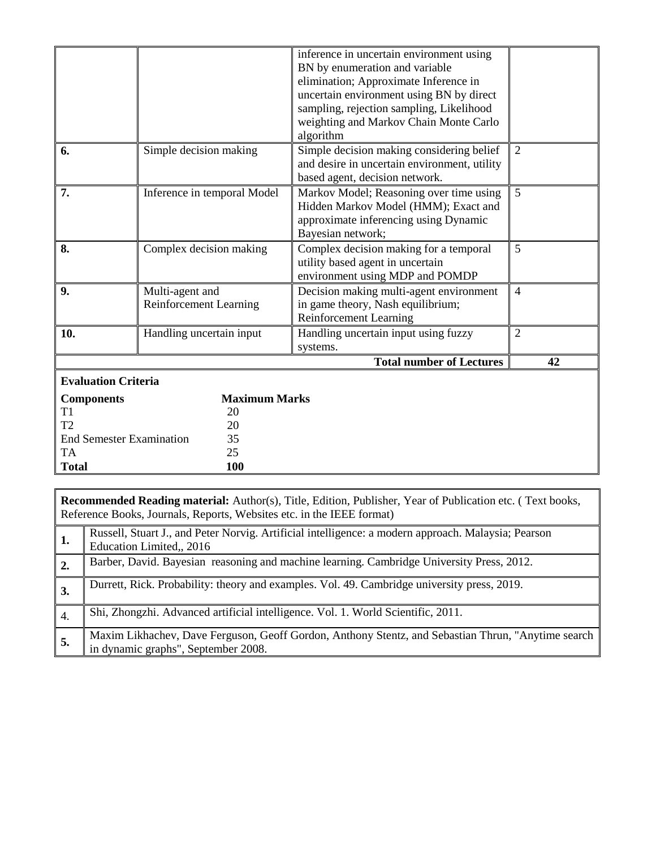|                                       |                                                  | inference in uncertain environment using<br>BN by enumeration and variable<br>elimination; Approximate Inference in<br>uncertain environment using BN by direct<br>sampling, rejection sampling, Likelihood<br>weighting and Markov Chain Monte Carlo<br>algorithm |                |
|---------------------------------------|--------------------------------------------------|--------------------------------------------------------------------------------------------------------------------------------------------------------------------------------------------------------------------------------------------------------------------|----------------|
| 6.                                    | Simple decision making                           | Simple decision making considering belief<br>and desire in uncertain environment, utility<br>based agent, decision network.                                                                                                                                        | 2              |
| 7.                                    | Inference in temporal Model                      | Markov Model; Reasoning over time using<br>Hidden Markov Model (HMM); Exact and<br>approximate inferencing using Dynamic<br>Bayesian network;                                                                                                                      | 5              |
| 8.                                    | Complex decision making                          | Complex decision making for a temporal<br>utility based agent in uncertain<br>environment using MDP and POMDP                                                                                                                                                      | $\overline{5}$ |
| 9.                                    | Multi-agent and<br><b>Reinforcement Learning</b> | Decision making multi-agent environment<br>in game theory, Nash equilibrium;<br>Reinforcement Learning                                                                                                                                                             | $\overline{4}$ |
| 10.                                   | Handling uncertain input                         | Handling uncertain input using fuzzy<br>systems.                                                                                                                                                                                                                   | $\overline{2}$ |
|                                       |                                                  | <b>Total number of Lectures</b>                                                                                                                                                                                                                                    | 42             |
| <b>Evaluation Criteria</b>            |                                                  |                                                                                                                                                                                                                                                                    |                |
| <b>Components</b>                     | <b>Maximum Marks</b>                             |                                                                                                                                                                                                                                                                    |                |
| T <sub>1</sub>                        | 20                                               |                                                                                                                                                                                                                                                                    |                |
| T2                                    | 20                                               |                                                                                                                                                                                                                                                                    |                |
| <b>End Semester Examination</b><br>35 |                                                  |                                                                                                                                                                                                                                                                    |                |
| <b>TA</b>                             | 25                                               |                                                                                                                                                                                                                                                                    |                |
| <b>Total</b>                          | 100                                              |                                                                                                                                                                                                                                                                    |                |

|                                                                       |  | <b>Recommended Reading material:</b> Author(s), Title, Edition, Publisher, Year of Publication etc. (Text books, |
|-----------------------------------------------------------------------|--|------------------------------------------------------------------------------------------------------------------|
| Reference Books, Journals, Reports, Websites etc. in the IEEE format) |  |                                                                                                                  |

|     | Russell, Stuart J., and Peter Norvig. Artificial intelligence: a modern approach. Malaysia; Pearson<br>Education Limited., 2016           |
|-----|-------------------------------------------------------------------------------------------------------------------------------------------|
|     | Barber, David. Bayesian reasoning and machine learning. Cambridge University Press, 2012.                                                 |
|     | Durrett, Rick. Probability: theory and examples. Vol. 49. Cambridge university press, 2019.                                               |
| 4.  | Shi, Zhongzhi. Advanced artificial intelligence. Vol. 1. World Scientific, 2011.                                                          |
| -5. | Maxim Likhachev, Dave Ferguson, Geoff Gordon, Anthony Stentz, and Sebastian Thrun, "Anytime search<br>in dynamic graphs", September 2008. |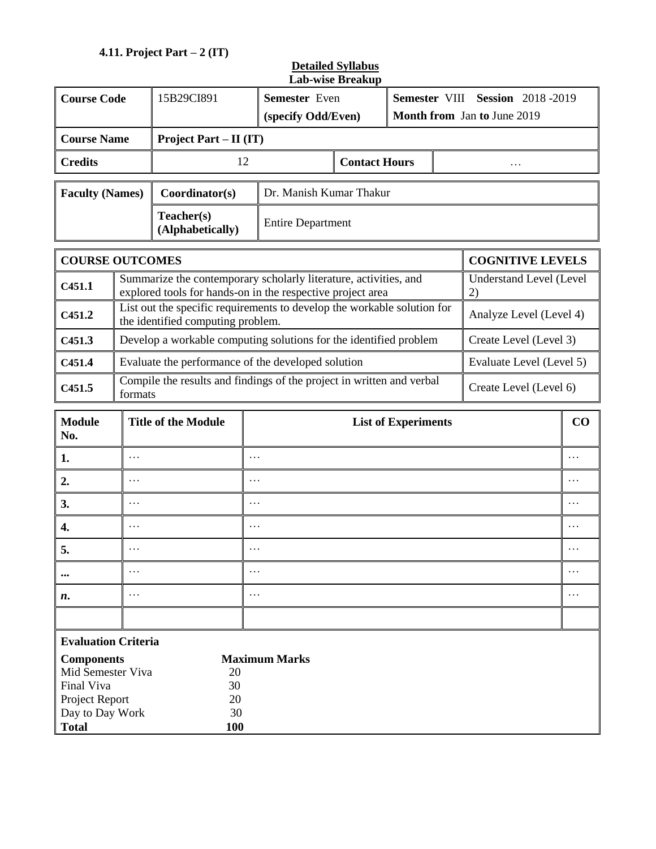# **4.11. Project Part – 2 (IT)**

| <b>Course Code</b>                                                                                        |                                                    | 15B29CI891                                                                                                                     | мар-м юс птеанар<br>Semester Even                                                               |                      |                            |  | Semester VIII Session 2018-2019 |          |
|-----------------------------------------------------------------------------------------------------------|----------------------------------------------------|--------------------------------------------------------------------------------------------------------------------------------|-------------------------------------------------------------------------------------------------|----------------------|----------------------------|--|---------------------------------|----------|
|                                                                                                           |                                                    |                                                                                                                                | (specify Odd/Even)                                                                              |                      |                            |  | Month from Jan to June 2019     |          |
|                                                                                                           |                                                    |                                                                                                                                |                                                                                                 |                      |                            |  |                                 |          |
| <b>Course Name</b><br><b>Project Part – II (IT)</b>                                                       |                                                    |                                                                                                                                |                                                                                                 |                      |                            |  |                                 |          |
| <b>Credits</b>                                                                                            |                                                    | 12                                                                                                                             |                                                                                                 | <b>Contact Hours</b> |                            |  | .                               |          |
| <b>Faculty (Names)</b>                                                                                    |                                                    | Coordinator(s)                                                                                                                 | Dr. Manish Kumar Thakur                                                                         |                      |                            |  |                                 |          |
| Teacher(s)<br>(Alphabetically)                                                                            |                                                    |                                                                                                                                | <b>Entire Department</b>                                                                        |                      |                            |  |                                 |          |
| <b>COURSE OUTCOMES</b>                                                                                    |                                                    |                                                                                                                                |                                                                                                 |                      |                            |  | <b>COGNITIVE LEVELS</b>         |          |
| C <sub>451.1</sub>                                                                                        |                                                    | Summarize the contemporary scholarly literature, activities, and<br>explored tools for hands-on in the respective project area |                                                                                                 |                      |                            |  | Understand Level (Level<br>2)   |          |
| C <sub>451.2</sub>                                                                                        |                                                    | List out the specific requirements to develop the workable solution for<br>the identified computing problem.                   |                                                                                                 |                      |                            |  | Analyze Level (Level 4)         |          |
| C <sub>451.3</sub>                                                                                        |                                                    | Develop a workable computing solutions for the identified problem                                                              |                                                                                                 |                      |                            |  | Create Level (Level 3)          |          |
| C451.4                                                                                                    | Evaluate the performance of the developed solution |                                                                                                                                |                                                                                                 |                      | Evaluate Level (Level 5)   |  |                                 |          |
| C <sub>451.5</sub>                                                                                        | formats                                            |                                                                                                                                | Compile the results and findings of the project in written and verbal<br>Create Level (Level 6) |                      |                            |  |                                 |          |
| <b>Module</b><br>No.                                                                                      |                                                    | <b>Title of the Module</b>                                                                                                     |                                                                                                 |                      | <b>List of Experiments</b> |  |                                 | $\bf CO$ |
| 1.                                                                                                        | .                                                  |                                                                                                                                | $\cdots$                                                                                        |                      |                            |  |                                 | $\cdots$ |
| 2.                                                                                                        | $\cdots$                                           |                                                                                                                                | .                                                                                               |                      |                            |  |                                 | .        |
| 3.                                                                                                        | .                                                  |                                                                                                                                | $\cdots$                                                                                        |                      |                            |  |                                 | .        |
| 4.                                                                                                        | .                                                  |                                                                                                                                | .                                                                                               |                      |                            |  |                                 | $\cdots$ |
| 5.                                                                                                        | $\cdots$                                           |                                                                                                                                | $\cdots$                                                                                        |                      |                            |  |                                 | .        |
| $\cdots$                                                                                                  | $\cdots$                                           |                                                                                                                                | $\cdots$                                                                                        |                      |                            |  |                                 | .        |
| n.                                                                                                        | $\cdots$                                           |                                                                                                                                | $\cdots$                                                                                        |                      |                            |  |                                 | $\cdots$ |
|                                                                                                           |                                                    |                                                                                                                                |                                                                                                 |                      |                            |  |                                 |          |
| <b>Evaluation Criteria</b>                                                                                |                                                    |                                                                                                                                |                                                                                                 |                      |                            |  |                                 |          |
| <b>Components</b><br>Mid Semester Viva<br>Final Viva<br>Project Report<br>Day to Day Work<br><b>Total</b> |                                                    | 20<br>30<br>20<br>30<br>100                                                                                                    | <b>Maximum Marks</b>                                                                            |                      |                            |  |                                 |          |

## **Detailed Syllabus Lab-wise Breakup**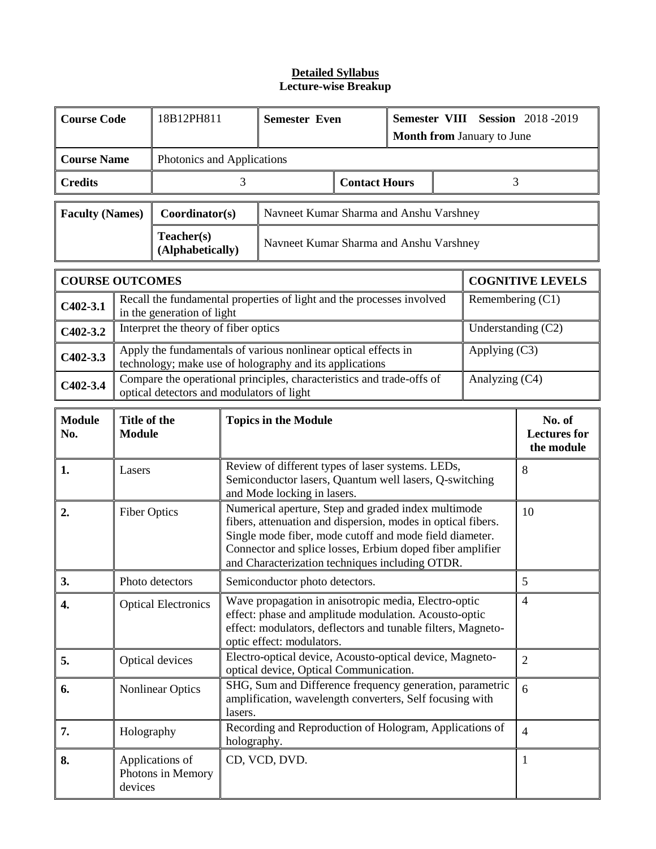| <b>Course Code</b>     | 18B12PH811<br><b>Semester Even</b><br>Semester VIII Session 2018-2019<br>Month from January to June                                                        |                                           |                                |                                                                                                                                                                                                                                                                                                |                                             |  |  |                    |                         |
|------------------------|------------------------------------------------------------------------------------------------------------------------------------------------------------|-------------------------------------------|--------------------------------|------------------------------------------------------------------------------------------------------------------------------------------------------------------------------------------------------------------------------------------------------------------------------------------------|---------------------------------------------|--|--|--------------------|-------------------------|
| <b>Course Name</b>     |                                                                                                                                                            | Photonics and Applications                |                                |                                                                                                                                                                                                                                                                                                |                                             |  |  |                    |                         |
| <b>Credits</b>         |                                                                                                                                                            |                                           | <b>Contact Hours</b><br>3<br>3 |                                                                                                                                                                                                                                                                                                |                                             |  |  |                    |                         |
| <b>Faculty (Names)</b> |                                                                                                                                                            | Coordinator(s)                            |                                | Navneet Kumar Sharma and Anshu Varshney                                                                                                                                                                                                                                                        |                                             |  |  |                    |                         |
|                        |                                                                                                                                                            | Teacher(s)<br>(Alphabetically)            |                                | Navneet Kumar Sharma and Anshu Varshney                                                                                                                                                                                                                                                        |                                             |  |  |                    |                         |
| <b>COURSE OUTCOMES</b> |                                                                                                                                                            |                                           |                                |                                                                                                                                                                                                                                                                                                |                                             |  |  |                    | <b>COGNITIVE LEVELS</b> |
| $C402-3.1$             |                                                                                                                                                            | in the generation of light                |                                | Recall the fundamental properties of light and the processes involved                                                                                                                                                                                                                          |                                             |  |  | Remembering $(C1)$ |                         |
| $C402-3.2$             |                                                                                                                                                            | Interpret the theory of fiber optics      |                                |                                                                                                                                                                                                                                                                                                |                                             |  |  |                    | Understanding (C2)      |
| $C402 - 3.3$           |                                                                                                                                                            |                                           |                                | Apply the fundamentals of various nonlinear optical effects in<br>technology; make use of holography and its applications                                                                                                                                                                      |                                             |  |  | Applying (C3)      |                         |
| $C402-3.4$             |                                                                                                                                                            | optical detectors and modulators of light |                                | Compare the operational principles, characteristics and trade-offs of                                                                                                                                                                                                                          |                                             |  |  | Analyzing (C4)     |                         |
| <b>Module</b><br>No.   | Title of the<br><b>Topics in the Module</b><br><b>Module</b>                                                                                               |                                           |                                |                                                                                                                                                                                                                                                                                                | No. of<br><b>Lectures</b> for<br>the module |  |  |                    |                         |
| 1.                     | Lasers                                                                                                                                                     |                                           |                                | Review of different types of laser systems. LEDs,<br>Semiconductor lasers, Quantum well lasers, Q-switching<br>and Mode locking in lasers.                                                                                                                                                     |                                             |  |  |                    | 8                       |
| 2.                     | <b>Fiber Optics</b>                                                                                                                                        |                                           |                                | Numerical aperture, Step and graded index multimode<br>fibers, attenuation and dispersion, modes in optical fibers.<br>Single mode fiber, mode cutoff and mode field diameter.<br>Connector and splice losses, Erbium doped fiber amplifier<br>and Characterization techniques including OTDR. |                                             |  |  |                    | 10                      |
| 3.                     |                                                                                                                                                            | Photo detectors                           |                                | Semiconductor photo detectors.                                                                                                                                                                                                                                                                 |                                             |  |  |                    | 5                       |
| 4.                     |                                                                                                                                                            | <b>Optical Electronics</b>                |                                | Wave propagation in anisotropic media, Electro-optic<br>effect: phase and amplitude modulation. Acousto-optic<br>effect: modulators, deflectors and tunable filters, Magneto-<br>optic effect: modulators.                                                                                     |                                             |  |  |                    | $\overline{4}$          |
| 5.                     |                                                                                                                                                            | Optical devices                           |                                | Electro-optical device, Acousto-optical device, Magneto-<br>optical device, Optical Communication.                                                                                                                                                                                             |                                             |  |  |                    | $\overline{2}$          |
| 6.                     | SHG, Sum and Difference frequency generation, parametric<br><b>Nonlinear Optics</b><br>amplification, wavelength converters, Self focusing with<br>lasers. |                                           |                                |                                                                                                                                                                                                                                                                                                | 6                                           |  |  |                    |                         |
| 7.                     | Holography                                                                                                                                                 |                                           | holography.                    | Recording and Reproduction of Hologram, Applications of                                                                                                                                                                                                                                        |                                             |  |  |                    | $\overline{4}$          |
| 8.                     | devices                                                                                                                                                    | Applications of<br>Photons in Memory      |                                | CD, VCD, DVD.                                                                                                                                                                                                                                                                                  |                                             |  |  |                    | $\mathbf{1}$            |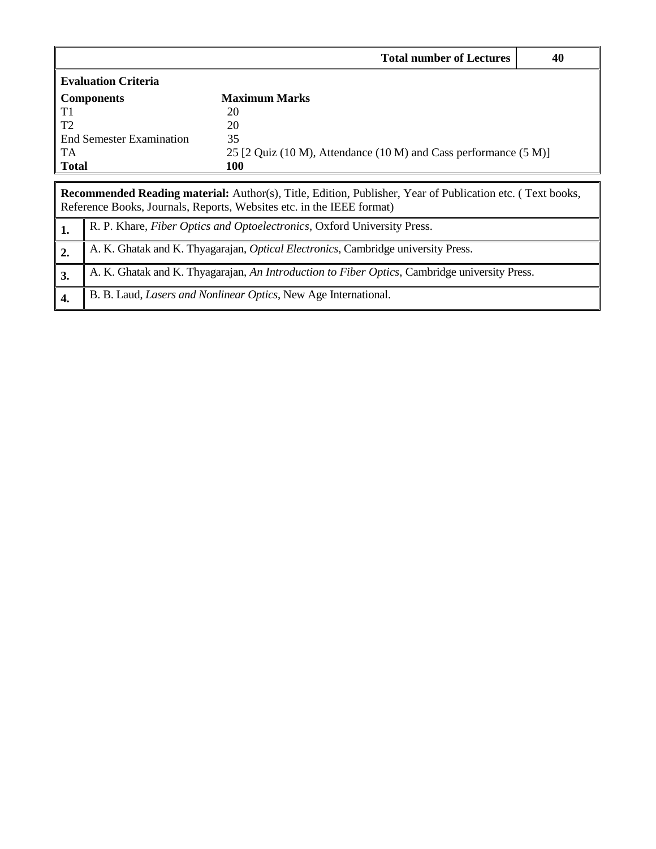|                |                            | <b>Total number of Lectures</b>                                                                                                                                                           | 40                                                               |  |  |  |  |  |
|----------------|----------------------------|-------------------------------------------------------------------------------------------------------------------------------------------------------------------------------------------|------------------------------------------------------------------|--|--|--|--|--|
|                | <b>Evaluation Criteria</b> |                                                                                                                                                                                           |                                                                  |  |  |  |  |  |
|                | <b>Components</b>          | <b>Maximum Marks</b>                                                                                                                                                                      |                                                                  |  |  |  |  |  |
| T1             |                            | 20                                                                                                                                                                                        |                                                                  |  |  |  |  |  |
| T <sub>2</sub> |                            | 20                                                                                                                                                                                        |                                                                  |  |  |  |  |  |
|                | End Semester Examination   | 35                                                                                                                                                                                        |                                                                  |  |  |  |  |  |
| <b>TA</b>      |                            |                                                                                                                                                                                           | 25 [2 Quiz (10 M), Attendance (10 M) and Cass performance (5 M)] |  |  |  |  |  |
| <b>Total</b>   |                            | 100                                                                                                                                                                                       |                                                                  |  |  |  |  |  |
|                |                            |                                                                                                                                                                                           |                                                                  |  |  |  |  |  |
|                |                            | <b>Recommended Reading material:</b> Author(s), Title, Edition, Publisher, Year of Publication etc. (Text books,<br>Reference Books, Journals, Reports, Websites etc. in the IEEE format) |                                                                  |  |  |  |  |  |
| 1.             |                            | R. P. Khare, Fiber Optics and Optoelectronics, Oxford University Press.                                                                                                                   |                                                                  |  |  |  |  |  |
| 2.             |                            | A. K. Ghatak and K. Thyagarajan, <i>Optical Electronics</i> , Cambridge university Press.                                                                                                 |                                                                  |  |  |  |  |  |
| 3.             |                            | A. K. Ghatak and K. Thyagarajan, An Introduction to Fiber Optics, Cambridge university Press.                                                                                             |                                                                  |  |  |  |  |  |
| 4.             |                            | B. B. Laud, <i>Lasers and Nonlinear Optics</i> , New Age International.                                                                                                                   |                                                                  |  |  |  |  |  |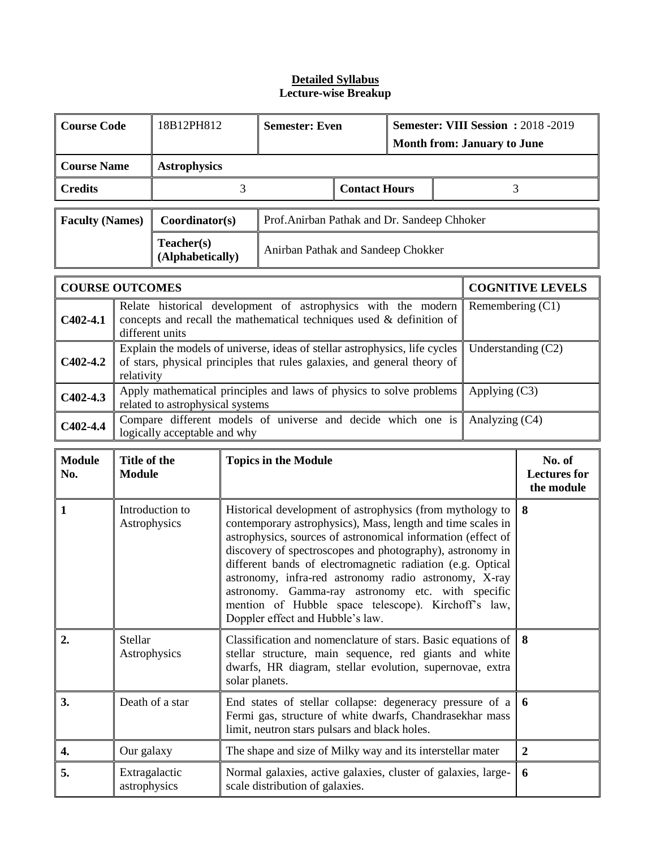| <b>Course Code</b><br>18B12PH812            |                                                                                                                                                                                                                                      |                                  |                             | Semester: VIII Session : 2018 -2019<br><b>Semester: Even</b><br><b>Month from: January to June</b>                                                                                                                                                                                                                                                                                                                                                                                                                           |  |   |  |                      |                                             |
|---------------------------------------------|--------------------------------------------------------------------------------------------------------------------------------------------------------------------------------------------------------------------------------------|----------------------------------|-----------------------------|------------------------------------------------------------------------------------------------------------------------------------------------------------------------------------------------------------------------------------------------------------------------------------------------------------------------------------------------------------------------------------------------------------------------------------------------------------------------------------------------------------------------------|--|---|--|----------------------|---------------------------------------------|
|                                             | <b>Course Name</b><br><b>Astrophysics</b>                                                                                                                                                                                            |                                  |                             |                                                                                                                                                                                                                                                                                                                                                                                                                                                                                                                              |  |   |  |                      |                                             |
| 3<br><b>Contact Hours</b><br><b>Credits</b> |                                                                                                                                                                                                                                      |                                  |                             |                                                                                                                                                                                                                                                                                                                                                                                                                                                                                                                              |  | 3 |  |                      |                                             |
| <b>Faculty (Names)</b>                      |                                                                                                                                                                                                                                      | Coordinator(s)                   |                             | Prof.Anirban Pathak and Dr. Sandeep Chhoker                                                                                                                                                                                                                                                                                                                                                                                                                                                                                  |  |   |  |                      |                                             |
|                                             |                                                                                                                                                                                                                                      | Teacher(s)<br>(Alphabetically)   |                             | Anirban Pathak and Sandeep Chokker                                                                                                                                                                                                                                                                                                                                                                                                                                                                                           |  |   |  |                      |                                             |
| <b>COURSE OUTCOMES</b>                      |                                                                                                                                                                                                                                      |                                  |                             |                                                                                                                                                                                                                                                                                                                                                                                                                                                                                                                              |  |   |  |                      | <b>COGNITIVE LEVELS</b>                     |
| $C402-4.1$                                  |                                                                                                                                                                                                                                      | different units                  |                             | Relate historical development of astrophysics with the modern<br>concepts and recall the mathematical techniques used $\&$ definition of                                                                                                                                                                                                                                                                                                                                                                                     |  |   |  | Remembering (C1)     |                                             |
| $C402-4.2$                                  | relativity                                                                                                                                                                                                                           |                                  |                             | Explain the models of universe, ideas of stellar astrophysics, life cycles<br>of stars, physical principles that rules galaxies, and general theory of                                                                                                                                                                                                                                                                                                                                                                       |  |   |  | Understanding $(C2)$ |                                             |
| $C402-4.3$                                  |                                                                                                                                                                                                                                      | related to astrophysical systems |                             | Apply mathematical principles and laws of physics to solve problems                                                                                                                                                                                                                                                                                                                                                                                                                                                          |  |   |  | Applying $(C3)$      |                                             |
| C402-4.4                                    | Compare different models of universe and decide which one is<br>Analyzing (C4)<br>logically acceptable and why                                                                                                                       |                                  |                             |                                                                                                                                                                                                                                                                                                                                                                                                                                                                                                                              |  |   |  |                      |                                             |
| <b>Module</b><br>No.                        | Title of the<br><b>Module</b>                                                                                                                                                                                                        |                                  | <b>Topics in the Module</b> |                                                                                                                                                                                                                                                                                                                                                                                                                                                                                                                              |  |   |  |                      | No. of<br><b>Lectures</b> for<br>the module |
| $\mathbf{1}$                                | Astrophysics                                                                                                                                                                                                                         | Introduction to                  |                             | Historical development of astrophysics (from mythology to<br>contemporary astrophysics), Mass, length and time scales in<br>astrophysics, sources of astronomical information (effect of<br>discovery of spectroscopes and photography), astronomy in<br>different bands of electromagnetic radiation (e.g. Optical<br>astronomy, infra-red astronomy radio astronomy, X-ray<br>astronomy. Gamma-ray astronomy etc. with specific<br>mention of Hubble space telescope). Kirchoff's law,<br>Doppler effect and Hubble's law. |  |   |  |                      | 8                                           |
| 2.                                          | Stellar<br>Classification and nomenclature of stars. Basic equations of<br>8<br>Astrophysics<br>stellar structure, main sequence, red giants and white<br>dwarfs, HR diagram, stellar evolution, supernovae, extra<br>solar planets. |                                  |                             |                                                                                                                                                                                                                                                                                                                                                                                                                                                                                                                              |  |   |  |                      |                                             |
| 3.                                          | Death of a star<br>End states of stellar collapse: degeneracy pressure of a<br>Fermi gas, structure of white dwarfs, Chandrasekhar mass<br>limit, neutron stars pulsars and black holes.                                             |                                  |                             |                                                                                                                                                                                                                                                                                                                                                                                                                                                                                                                              |  | 6 |  |                      |                                             |
| 4.                                          | Our galaxy                                                                                                                                                                                                                           |                                  |                             | The shape and size of Milky way and its interstellar mater                                                                                                                                                                                                                                                                                                                                                                                                                                                                   |  |   |  |                      | $\boldsymbol{2}$                            |
| 5.                                          | Extragalactic<br>astrophysics                                                                                                                                                                                                        |                                  |                             | Normal galaxies, active galaxies, cluster of galaxies, large-<br>scale distribution of galaxies.                                                                                                                                                                                                                                                                                                                                                                                                                             |  |   |  |                      | 6                                           |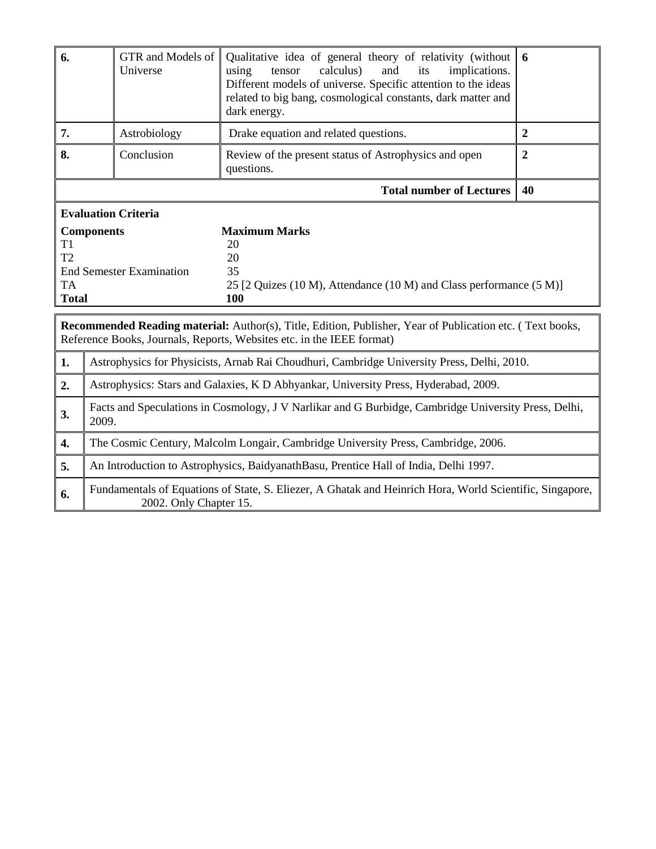| 6.                        | GTR and Models of<br>Universe                                                                                 | Qualitative idea of general theory of relativity (without<br>calculus)<br>and<br>implications.<br>using<br>tensor<br>its<br>Different models of universe. Specific attention to the ideas<br>related to big bang, cosmological constants, dark matter and<br>dark energy. | 6              |  |  |  |
|---------------------------|---------------------------------------------------------------------------------------------------------------|---------------------------------------------------------------------------------------------------------------------------------------------------------------------------------------------------------------------------------------------------------------------------|----------------|--|--|--|
| 7.                        | Astrobiology                                                                                                  | Drake equation and related questions.                                                                                                                                                                                                                                     | $\overline{2}$ |  |  |  |
| 8.                        | Conclusion                                                                                                    | Review of the present status of Astrophysics and open<br>questions.                                                                                                                                                                                                       | $\overline{2}$ |  |  |  |
|                           |                                                                                                               | <b>Total number of Lectures</b>                                                                                                                                                                                                                                           | 40             |  |  |  |
|                           | <b>Evaluation Criteria</b>                                                                                    |                                                                                                                                                                                                                                                                           |                |  |  |  |
| T1<br>T2                  | <b>Components</b>                                                                                             | <b>Maximum Marks</b><br>20<br>20                                                                                                                                                                                                                                          |                |  |  |  |
| <b>TA</b><br><b>Total</b> | <b>End Semester Examination</b>                                                                               | 35<br>25 [2 Quizes (10 M), Attendance (10 M) and Class performance (5 M)]<br>100                                                                                                                                                                                          |                |  |  |  |
|                           |                                                                                                               | Recommended Reading material: Author(s), Title, Edition, Publisher, Year of Publication etc. (Text books,<br>Reference Books, Journals, Reports, Websites etc. in the IEEE format)                                                                                        |                |  |  |  |
| 1.                        |                                                                                                               | Astrophysics for Physicists, Arnab Rai Choudhuri, Cambridge University Press, Delhi, 2010.                                                                                                                                                                                |                |  |  |  |
| 2.                        |                                                                                                               | Astrophysics: Stars and Galaxies, K D Abhyankar, University Press, Hyderabad, 2009.                                                                                                                                                                                       |                |  |  |  |
| 3.                        | Facts and Speculations in Cosmology, J V Narlikar and G Burbidge, Cambridge University Press, Delhi,<br>2009. |                                                                                                                                                                                                                                                                           |                |  |  |  |
| 4.                        |                                                                                                               | The Cosmic Century, Malcolm Longair, Cambridge University Press, Cambridge, 2006.                                                                                                                                                                                         |                |  |  |  |
| 5.                        |                                                                                                               | An Introduction to Astrophysics, BaidyanathBasu, Prentice Hall of India, Delhi 1997.                                                                                                                                                                                      |                |  |  |  |

**6.** Fundamentals of Equations of State, S. Eliezer, A Ghatak and Heinrich Hora, World Scientific, Singapore, 2002. Only Chapter 15.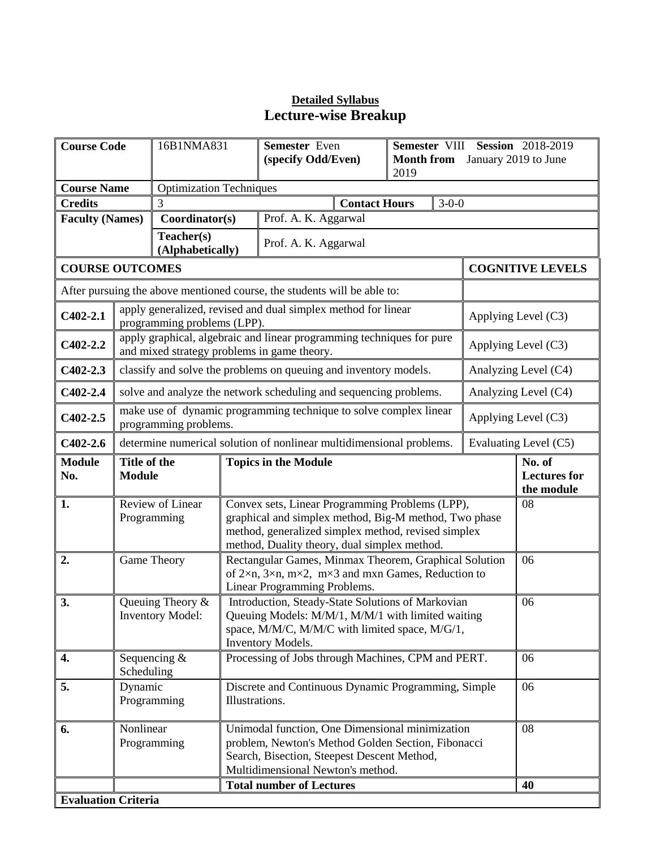| <b>Course Code</b>             |                                                                                                                                                                                                                       | 16B1NMA831                                  | Semester VIII Session 2018-2019<br>Semester Even<br>(specify Odd/Even)<br><b>Month from</b><br>2019 |                                                                                                                                                                                                                 |  |                       | January 2019 to June                        |  |
|--------------------------------|-----------------------------------------------------------------------------------------------------------------------------------------------------------------------------------------------------------------------|---------------------------------------------|-----------------------------------------------------------------------------------------------------|-----------------------------------------------------------------------------------------------------------------------------------------------------------------------------------------------------------------|--|-----------------------|---------------------------------------------|--|
| <b>Course Name</b>             |                                                                                                                                                                                                                       | <b>Optimization Techniques</b>              |                                                                                                     |                                                                                                                                                                                                                 |  |                       |                                             |  |
| <b>Credits</b>                 |                                                                                                                                                                                                                       | 3                                           | <b>Contact Hours</b><br>$3 - 0 - 0$                                                                 |                                                                                                                                                                                                                 |  |                       |                                             |  |
| <b>Faculty (Names)</b>         |                                                                                                                                                                                                                       | Coordinator(s)                              |                                                                                                     | Prof. A. K. Aggarwal                                                                                                                                                                                            |  |                       |                                             |  |
| Teacher(s)<br>(Alphabetically) |                                                                                                                                                                                                                       |                                             |                                                                                                     | Prof. A. K. Aggarwal                                                                                                                                                                                            |  |                       |                                             |  |
| <b>COURSE OUTCOMES</b>         |                                                                                                                                                                                                                       |                                             |                                                                                                     |                                                                                                                                                                                                                 |  |                       | <b>COGNITIVE LEVELS</b>                     |  |
|                                |                                                                                                                                                                                                                       |                                             |                                                                                                     | After pursuing the above mentioned course, the students will be able to:                                                                                                                                        |  |                       |                                             |  |
| $C402-2.1$                     |                                                                                                                                                                                                                       | programming problems (LPP).                 |                                                                                                     | apply generalized, revised and dual simplex method for linear                                                                                                                                                   |  |                       | Applying Level (C3)                         |  |
| $C402-2.2$                     |                                                                                                                                                                                                                       |                                             |                                                                                                     | apply graphical, algebraic and linear programming techniques for pure<br>and mixed strategy problems in game theory.                                                                                            |  |                       | Applying Level (C3)                         |  |
| $C402 - 2.3$                   |                                                                                                                                                                                                                       |                                             |                                                                                                     | classify and solve the problems on queuing and inventory models.                                                                                                                                                |  |                       | Analyzing Level (C4)                        |  |
| $C402 - 2.4$                   |                                                                                                                                                                                                                       |                                             |                                                                                                     | solve and analyze the network scheduling and sequencing problems.                                                                                                                                               |  |                       | Analyzing Level (C4)                        |  |
| $C402 - 2.5$                   | make use of dynamic programming technique to solve complex linear<br>programming problems.                                                                                                                            |                                             |                                                                                                     |                                                                                                                                                                                                                 |  |                       | Applying Level (C3)                         |  |
| $C402-2.6$                     | determine numerical solution of nonlinear multidimensional problems.                                                                                                                                                  |                                             |                                                                                                     |                                                                                                                                                                                                                 |  | Evaluating Level (C5) |                                             |  |
| <b>Module</b><br>No.           | Title of the<br><b>Module</b>                                                                                                                                                                                         |                                             | <b>Topics in the Module</b>                                                                         |                                                                                                                                                                                                                 |  |                       | No. of<br><b>Lectures</b> for<br>the module |  |
| 1.                             |                                                                                                                                                                                                                       | Review of Linear<br>Programming             |                                                                                                     | Convex sets, Linear Programming Problems (LPP),<br>graphical and simplex method, Big-M method, Two phase<br>method, generalized simplex method, revised simplex<br>method, Duality theory, dual simplex method. |  |                       | 08                                          |  |
| 2.                             |                                                                                                                                                                                                                       | Game Theory                                 |                                                                                                     | Rectangular Games, Minmax Theorem, Graphical Solution<br>of $2\times n$ , $3\times n$ , $m\times 2$ , $m\times 3$ and mxn Games, Reduction to<br>Linear Programming Problems.                                   |  |                       | 06                                          |  |
| 3.                             |                                                                                                                                                                                                                       | Queuing Theory &<br><b>Inventory Model:</b> |                                                                                                     | Introduction, Steady-State Solutions of Markovian<br>Queuing Models: M/M/1, M/M/1 with limited waiting<br>space, M/M/C, M/M/C with limited space, M/G/1,<br>Inventory Models.                                   |  |                       | 06                                          |  |
| 4.                             | Scheduling                                                                                                                                                                                                            | Sequencing $&$                              |                                                                                                     | Processing of Jobs through Machines, CPM and PERT.                                                                                                                                                              |  |                       | 06                                          |  |
| 5.                             | Discrete and Continuous Dynamic Programming, Simple<br>Dynamic<br>Illustrations.<br>Programming                                                                                                                       |                                             |                                                                                                     |                                                                                                                                                                                                                 |  | 06                    |                                             |  |
| 6.                             | Nonlinear<br>Unimodal function, One Dimensional minimization<br>Programming<br>problem, Newton's Method Golden Section, Fibonacci<br>Search, Bisection, Steepest Descent Method,<br>Multidimensional Newton's method. |                                             |                                                                                                     |                                                                                                                                                                                                                 |  |                       | 08                                          |  |
|                                |                                                                                                                                                                                                                       |                                             |                                                                                                     | <b>Total number of Lectures</b>                                                                                                                                                                                 |  |                       | 40                                          |  |
| <b>Evaluation Criteria</b>     |                                                                                                                                                                                                                       |                                             |                                                                                                     |                                                                                                                                                                                                                 |  |                       |                                             |  |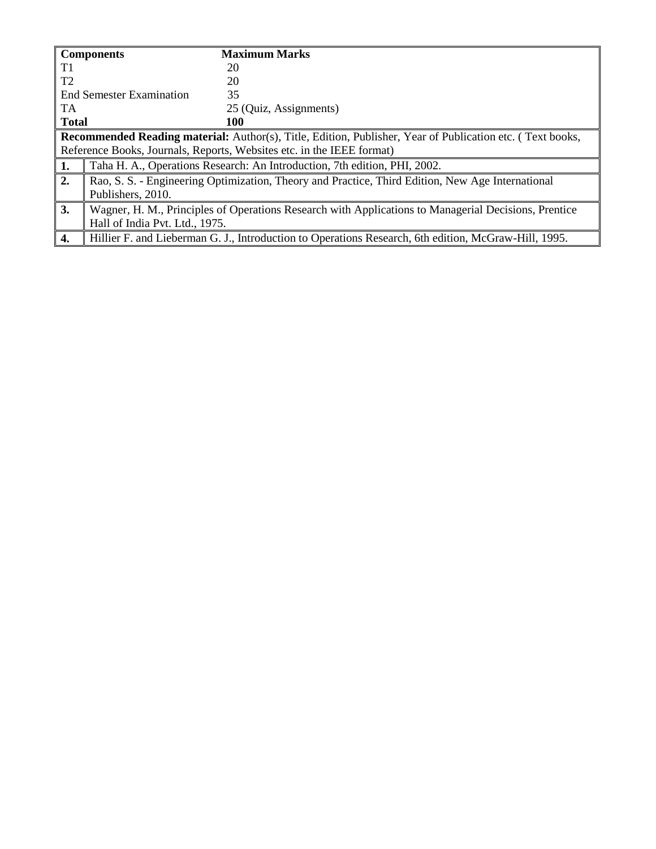|                | <b>Components</b>               | <b>Maximum Marks</b>                                                                                             |
|----------------|---------------------------------|------------------------------------------------------------------------------------------------------------------|
| T1             |                                 | 20                                                                                                               |
| T <sub>2</sub> |                                 | 20                                                                                                               |
|                | <b>End Semester Examination</b> | 35                                                                                                               |
| TA.            |                                 | 25 (Quiz, Assignments)                                                                                           |
| <b>Total</b>   |                                 | 100                                                                                                              |
|                |                                 | <b>Recommended Reading material:</b> Author(s), Title, Edition, Publisher, Year of Publication etc. (Text books, |
|                |                                 | Reference Books, Journals, Reports, Websites etc. in the IEEE format)                                            |
| 1.             |                                 | Taha H. A., Operations Research: An Introduction, 7th edition, PHI, 2002.                                        |
| 2.             |                                 | Rao, S. S. - Engineering Optimization, Theory and Practice, Third Edition, New Age International                 |
|                | Publishers, 2010.               |                                                                                                                  |
| 3.             |                                 | Wagner, H. M., Principles of Operations Research with Applications to Managerial Decisions, Prentice             |
|                | Hall of India Pvt. Ltd., 1975.  |                                                                                                                  |
| 4.             |                                 | Hillier F. and Lieberman G. J., Introduction to Operations Research, 6th edition, McGraw-Hill, 1995.             |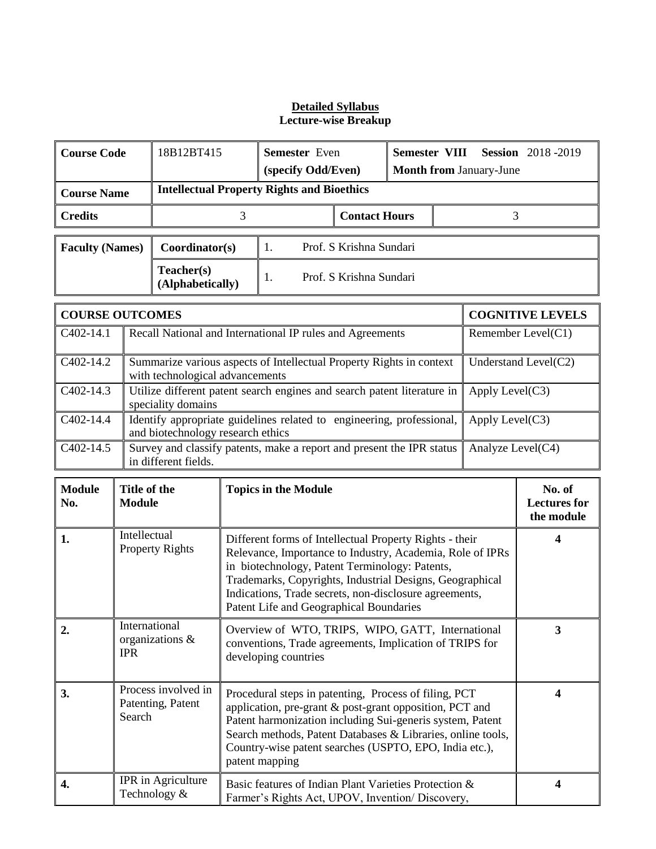|                                                                                                                                              | <b>Course Code</b><br>18B12BT415<br><b>Semester</b> Even<br><b>Semester VIII</b><br><b>Session</b> 2018-2019                                                                                                                                                                                                                                                                   |                                    |  |                                                                                                                                                                                                                                                                                                                                         |                         |  |                                |                 |                                             |  |
|----------------------------------------------------------------------------------------------------------------------------------------------|--------------------------------------------------------------------------------------------------------------------------------------------------------------------------------------------------------------------------------------------------------------------------------------------------------------------------------------------------------------------------------|------------------------------------|--|-----------------------------------------------------------------------------------------------------------------------------------------------------------------------------------------------------------------------------------------------------------------------------------------------------------------------------------------|-------------------------|--|--------------------------------|-----------------|---------------------------------------------|--|
|                                                                                                                                              |                                                                                                                                                                                                                                                                                                                                                                                |                                    |  | (specify Odd/Even)                                                                                                                                                                                                                                                                                                                      |                         |  | <b>Month from January-June</b> |                 |                                             |  |
| <b>Course Name</b>                                                                                                                           | <b>Intellectual Property Rights and Bioethics</b>                                                                                                                                                                                                                                                                                                                              |                                    |  |                                                                                                                                                                                                                                                                                                                                         |                         |  |                                |                 |                                             |  |
| <b>Contact Hours</b><br>3<br>3<br><b>Credits</b>                                                                                             |                                                                                                                                                                                                                                                                                                                                                                                |                                    |  |                                                                                                                                                                                                                                                                                                                                         |                         |  |                                |                 |                                             |  |
| <b>Faculty (Names)</b>                                                                                                                       |                                                                                                                                                                                                                                                                                                                                                                                | Coordinator(s)                     |  | 1.                                                                                                                                                                                                                                                                                                                                      | Prof. S Krishna Sundari |  |                                |                 |                                             |  |
|                                                                                                                                              |                                                                                                                                                                                                                                                                                                                                                                                | Teacher(s)<br>(Alphabetically)     |  | Prof. S Krishna Sundari<br>1.                                                                                                                                                                                                                                                                                                           |                         |  |                                |                 |                                             |  |
| <b>COURSE OUTCOMES</b>                                                                                                                       |                                                                                                                                                                                                                                                                                                                                                                                |                                    |  |                                                                                                                                                                                                                                                                                                                                         |                         |  |                                |                 | <b>COGNITIVE LEVELS</b>                     |  |
| C402-14.1                                                                                                                                    |                                                                                                                                                                                                                                                                                                                                                                                |                                    |  | Recall National and International IP rules and Agreements                                                                                                                                                                                                                                                                               |                         |  |                                |                 | Remember Level(C1)                          |  |
| C402-14.2                                                                                                                                    |                                                                                                                                                                                                                                                                                                                                                                                | with technological advancements    |  | Summarize various aspects of Intellectual Property Rights in context                                                                                                                                                                                                                                                                    |                         |  |                                |                 | Understand Level(C2)                        |  |
| $C402-14.3$                                                                                                                                  |                                                                                                                                                                                                                                                                                                                                                                                | speciality domains                 |  | Utilize different patent search engines and search patent literature in                                                                                                                                                                                                                                                                 |                         |  |                                | Apply Level(C3) |                                             |  |
| C402-14.4                                                                                                                                    | Identify appropriate guidelines related to engineering, professional,<br>and biotechnology research ethics                                                                                                                                                                                                                                                                     |                                    |  |                                                                                                                                                                                                                                                                                                                                         | Apply Level(C3)         |  |                                |                 |                                             |  |
| C <sub>4</sub> 02-14.5<br>Survey and classify patents, make a report and present the IPR status<br>Analyze Level(C4)<br>in different fields. |                                                                                                                                                                                                                                                                                                                                                                                |                                    |  |                                                                                                                                                                                                                                                                                                                                         |                         |  |                                |                 |                                             |  |
| <b>Module</b><br>No.                                                                                                                         | Title of the<br><b>Module</b>                                                                                                                                                                                                                                                                                                                                                  |                                    |  | <b>Topics in the Module</b>                                                                                                                                                                                                                                                                                                             |                         |  |                                |                 | No. of<br><b>Lectures</b> for<br>the module |  |
| 1.                                                                                                                                           | Intellectual                                                                                                                                                                                                                                                                                                                                                                   | <b>Property Rights</b>             |  | Different forms of Intellectual Property Rights - their<br>Relevance, Importance to Industry, Academia, Role of IPRs<br>in biotechnology, Patent Terminology: Patents,<br>Trademarks, Copyrights, Industrial Designs, Geographical<br>Indications, Trade secrets, non-disclosure agreements,<br>Patent Life and Geographical Boundaries |                         |  |                                |                 | $\overline{\mathbf{4}}$                     |  |
| 2.                                                                                                                                           | International<br>Overview of WTO, TRIPS, WIPO, GATT, International<br>organizations &<br>conventions, Trade agreements, Implication of TRIPS for<br><b>IPR</b><br>developing countries                                                                                                                                                                                         |                                    |  |                                                                                                                                                                                                                                                                                                                                         | $\overline{\mathbf{3}}$ |  |                                |                 |                                             |  |
| 3.                                                                                                                                           | Process involved in<br>Procedural steps in patenting, Process of filing, PCT<br>Patenting, Patent<br>application, pre-grant & post-grant opposition, PCT and<br>Search<br>Patent harmonization including Sui-generis system, Patent<br>Search methods, Patent Databases & Libraries, online tools,<br>Country-wise patent searches (USPTO, EPO, India etc.),<br>patent mapping |                                    |  |                                                                                                                                                                                                                                                                                                                                         | $\overline{\mathbf{4}}$ |  |                                |                 |                                             |  |
| 4.                                                                                                                                           |                                                                                                                                                                                                                                                                                                                                                                                | IPR in Agriculture<br>Technology & |  | Basic features of Indian Plant Varieties Protection &<br>Farmer's Rights Act, UPOV, Invention/ Discovery,                                                                                                                                                                                                                               |                         |  |                                |                 | $\overline{\mathbf{4}}$                     |  |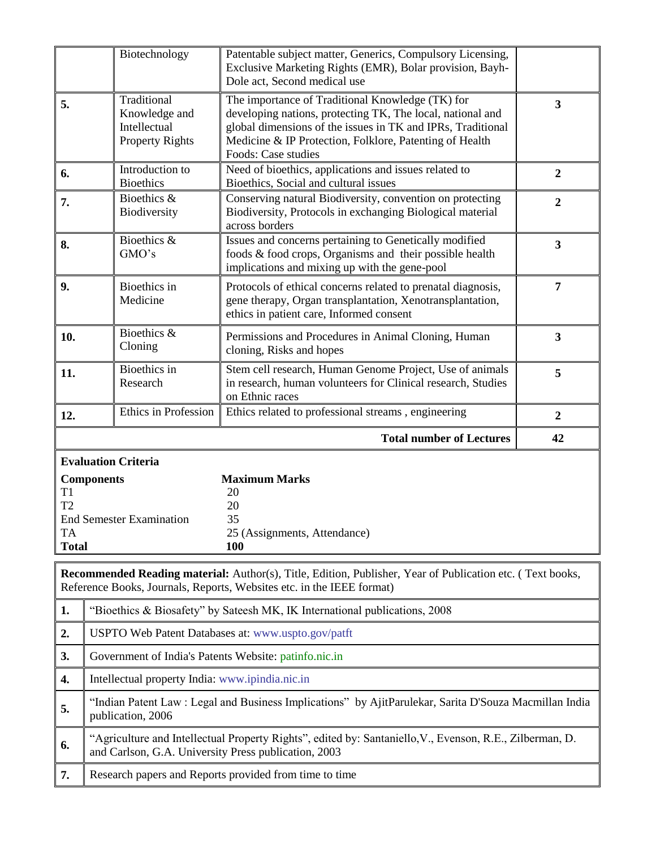|                                                   | Biotechnology                                                                      | Patentable subject matter, Generics, Compulsory Licensing,<br>Exclusive Marketing Rights (EMR), Bolar provision, Bayh-<br>Dole act, Second medical use                                                                                                          |                         |  |  |
|---------------------------------------------------|------------------------------------------------------------------------------------|-----------------------------------------------------------------------------------------------------------------------------------------------------------------------------------------------------------------------------------------------------------------|-------------------------|--|--|
| 5.                                                | Traditional<br>Knowledge and<br>Intellectual<br><b>Property Rights</b>             | The importance of Traditional Knowledge (TK) for<br>developing nations, protecting TK, The local, national and<br>global dimensions of the issues in TK and IPRs, Traditional<br>Medicine & IP Protection, Folklore, Patenting of Health<br>Foods: Case studies | 3                       |  |  |
| 6.                                                | Introduction to<br><b>Bioethics</b>                                                | Need of bioethics, applications and issues related to<br>Bioethics, Social and cultural issues                                                                                                                                                                  | $\overline{2}$          |  |  |
| 7.                                                | Bioethics &<br>Biodiversity                                                        | Conserving natural Biodiversity, convention on protecting<br>Biodiversity, Protocols in exchanging Biological material<br>across borders                                                                                                                        | $\boldsymbol{2}$        |  |  |
| 8.                                                | Bioethics &<br>GMO's                                                               | Issues and concerns pertaining to Genetically modified<br>foods & food crops, Organisms and their possible health<br>implications and mixing up with the gene-pool                                                                                              | $\overline{\mathbf{3}}$ |  |  |
| 9.                                                | <b>Bioethics</b> in<br>Medicine                                                    | Protocols of ethical concerns related to prenatal diagnosis,<br>gene therapy, Organ transplantation, Xenotransplantation,<br>ethics in patient care, Informed consent                                                                                           | 7                       |  |  |
| 10.                                               | Bioethics &<br>Cloning                                                             | Permissions and Procedures in Animal Cloning, Human<br>cloning, Risks and hopes                                                                                                                                                                                 | 3                       |  |  |
| 11.                                               | Bioethics in<br>Research                                                           | Stem cell research, Human Genome Project, Use of animals<br>in research, human volunteers for Clinical research, Studies<br>on Ethnic races                                                                                                                     |                         |  |  |
|                                                   | Ethics in Profession<br>Ethics related to professional streams, engineering<br>12. |                                                                                                                                                                                                                                                                 |                         |  |  |
|                                                   |                                                                                    |                                                                                                                                                                                                                                                                 | $\boldsymbol{2}$        |  |  |
|                                                   |                                                                                    | <b>Total number of Lectures</b>                                                                                                                                                                                                                                 | 42                      |  |  |
| T1<br>T <sub>2</sub><br><b>TA</b><br><b>Total</b> | <b>Evaluation Criteria</b><br><b>Components</b><br><b>End Semester Examination</b> | <b>Maximum Marks</b><br>20<br>20<br>35<br>25 (Assignments, Attendance)<br><b>100</b>                                                                                                                                                                            |                         |  |  |
|                                                   |                                                                                    | <b>Recommended Reading material:</b> Author(s), Title, Edition, Publisher, Year of Publication etc. (Text books,<br>Reference Books, Journals, Reports, Websites etc. in the IEEE format)                                                                       |                         |  |  |
| 1.                                                |                                                                                    | "Bioethics & Biosafety" by Sateesh MK, IK International publications, 2008                                                                                                                                                                                      |                         |  |  |
| 2.                                                |                                                                                    | USPTO Web Patent Databases at: www.uspto.gov/patft                                                                                                                                                                                                              |                         |  |  |
| 3.                                                | Government of India's Patents Website: patinfo.nic.in                              |                                                                                                                                                                                                                                                                 |                         |  |  |
| 4.                                                | Intellectual property India: www.ipindia.nic.in                                    |                                                                                                                                                                                                                                                                 |                         |  |  |
| 5.                                                | publication, 2006                                                                  | "Indian Patent Law: Legal and Business Implications" by AjitParulekar, Sarita D'Souza Macmillan India                                                                                                                                                           |                         |  |  |
| 6.                                                | and Carlson, G.A. University Press publication, 2003                               | "Agriculture and Intellectual Property Rights", edited by: Santaniello, V., Evenson, R.E., Zilberman, D.                                                                                                                                                        |                         |  |  |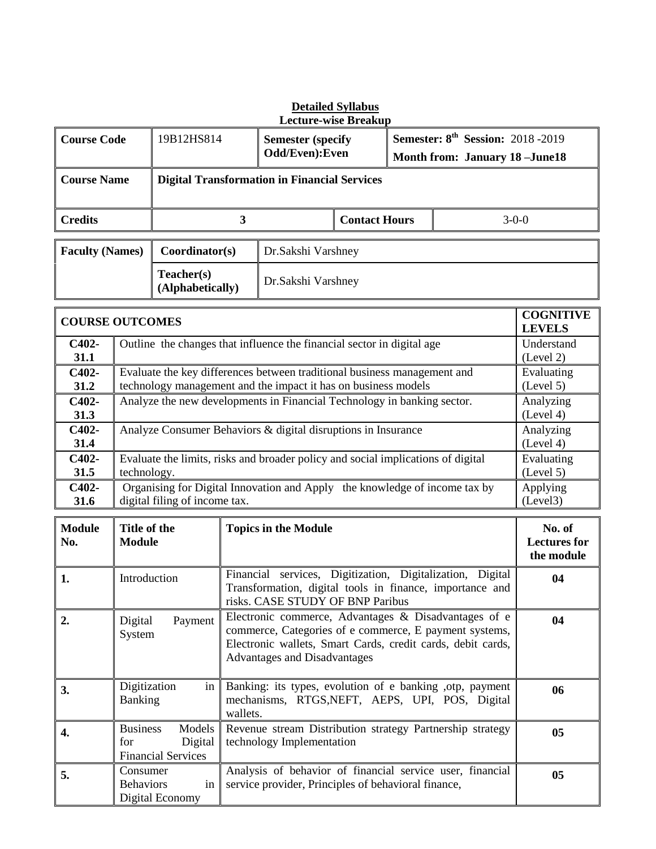|                        |                                | <b>Lecture-wise Breakup</b>                                                                                                                            |                                                     |  |         |  |  |  |  |
|------------------------|--------------------------------|--------------------------------------------------------------------------------------------------------------------------------------------------------|-----------------------------------------------------|--|---------|--|--|--|--|
| <b>Course Code</b>     | 19B12HS814                     | <b>Semester:</b> $8^{\text{th}}$ <b>Session:</b> 2018 -2019<br><b>Semester (specify)</b><br>Odd/Even): Even<br><b>Month from: January 18 - June 18</b> |                                                     |  |         |  |  |  |  |
| <b>Course Name</b>     |                                |                                                                                                                                                        | <b>Digital Transformation in Financial Services</b> |  |         |  |  |  |  |
| <b>Credits</b>         | 3                              |                                                                                                                                                        | <b>Contact Hours</b>                                |  | $3-0-0$ |  |  |  |  |
| <b>Faculty (Names)</b> | Coordinator(s)                 | Dr.Sakshi Varshney                                                                                                                                     |                                                     |  |         |  |  |  |  |
|                        | Teacher(s)<br>(Alphabetically) | Dr.Sakshi Varshney                                                                                                                                     |                                                     |  |         |  |  |  |  |

# **Detailed Syllabus**

|                 | <b>COGNITIVE</b><br><b>COURSE OUTCOMES</b><br><b>LEVELS</b>                                                                                |                         |  |  |  |  |
|-----------------|--------------------------------------------------------------------------------------------------------------------------------------------|-------------------------|--|--|--|--|
| $C402-$<br>31.1 | Outline the changes that influence the financial sector in digital age                                                                     | Understand<br>(Level 2) |  |  |  |  |
| $C402-$<br>31.2 | Evaluate the key differences between traditional business management and<br>technology management and the impact it has on business models | Evaluating<br>(Level 5) |  |  |  |  |
| $C402-$<br>31.3 | Analyze the new developments in Financial Technology in banking sector.                                                                    | Analyzing<br>(Level 4)  |  |  |  |  |
| C402-<br>31.4   | Analyze Consumer Behaviors & digital disruptions in Insurance                                                                              | Analyzing<br>(Level 4)  |  |  |  |  |
| C402-<br>31.5   | Evaluate the limits, risks and broader policy and social implications of digital<br>technology.                                            | Evaluating<br>(Level 5) |  |  |  |  |
| $C402-$<br>31.6 | Organising for Digital Innovation and Apply the knowledge of income tax by<br>digital filing of income tax.                                | Applying<br>(Level3)    |  |  |  |  |

| <b>Module</b><br>No. | Title of the<br><b>Module</b>                                              | <b>Topics in the Module</b>                                                                                                                                                                                          | No. of<br><b>Lectures for</b><br>the module |
|----------------------|----------------------------------------------------------------------------|----------------------------------------------------------------------------------------------------------------------------------------------------------------------------------------------------------------------|---------------------------------------------|
| 1.                   | Introduction                                                               | Financial services, Digitization, Digitalization, Digital<br>Transformation, digital tools in finance, importance and<br>risks. CASE STUDY OF BNP Paribus                                                            | 04                                          |
| $\overline{2}$ .     | Digital<br>Payment<br>System                                               | Electronic commerce, Advantages & Disadvantages of e<br>commerce, Categories of e commerce, E payment systems,<br>Electronic wallets, Smart Cards, credit cards, debit cards,<br><b>Advantages and Disadvantages</b> | 04                                          |
| 3.                   | Digitization<br>in<br><b>Banking</b>                                       | Banking: its types, evolution of e banking , otp, payment<br>mechanisms, RTGS, NEFT, AEPS, UPI, POS, Digital<br>wallets.                                                                                             | 06                                          |
| 4.                   | <b>Business</b><br>Models  <br>Digital<br>for<br><b>Financial Services</b> | Revenue stream Distribution strategy Partnership strategy<br>technology Implementation                                                                                                                               | 05                                          |
| 5.                   | Consumer<br>in<br><b>Behaviors</b><br>Digital Economy                      | Analysis of behavior of financial service user, financial<br>service provider, Principles of behavioral finance,                                                                                                     | 05                                          |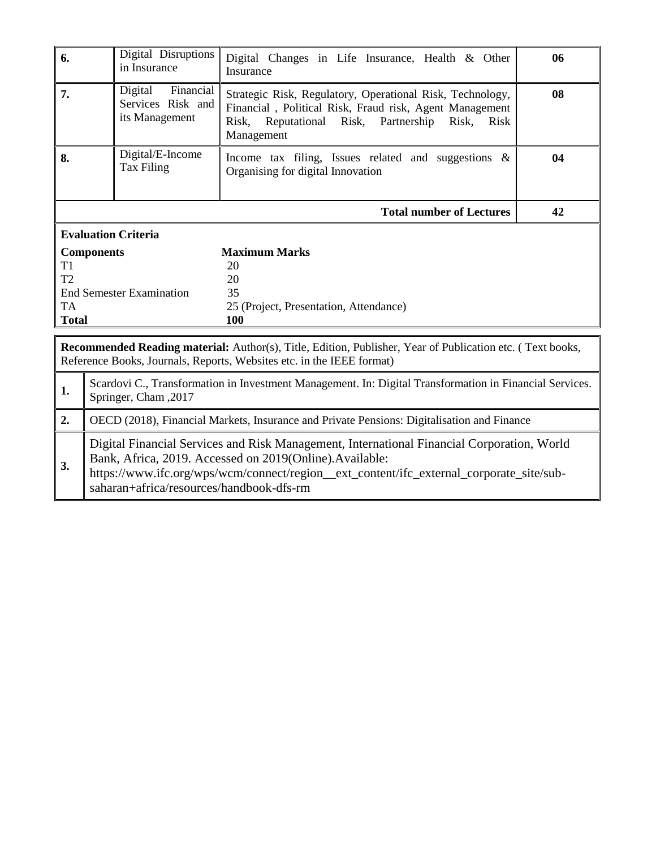| 6.             | Digital Disruptions<br>in Insurance                                                                                                                                                | Digital Changes in Life Insurance, Health & Other<br>Insurance                                                                                                                              | 06 |  |  |  |  |
|----------------|------------------------------------------------------------------------------------------------------------------------------------------------------------------------------------|---------------------------------------------------------------------------------------------------------------------------------------------------------------------------------------------|----|--|--|--|--|
| 7.             | Financial<br>Digital<br>Services Risk and<br>its Management                                                                                                                        | Strategic Risk, Regulatory, Operational Risk, Technology,<br>Financial, Political Risk, Fraud risk, Agent Management<br>Reputational Risk, Partnership Risk,<br>Risk<br>Risk.<br>Management | 08 |  |  |  |  |
| 8.             | Digital/E-Income<br>Tax Filing                                                                                                                                                     | Income tax filing, Issues related and suggestions $\&$<br>Organising for digital Innovation                                                                                                 | 04 |  |  |  |  |
|                |                                                                                                                                                                                    | <b>Total number of Lectures</b>                                                                                                                                                             | 42 |  |  |  |  |
|                | <b>Evaluation Criteria</b>                                                                                                                                                         |                                                                                                                                                                                             |    |  |  |  |  |
|                | <b>Components</b>                                                                                                                                                                  | <b>Maximum Marks</b>                                                                                                                                                                        |    |  |  |  |  |
| T1             |                                                                                                                                                                                    | 20                                                                                                                                                                                          |    |  |  |  |  |
| T <sub>2</sub> |                                                                                                                                                                                    | 20                                                                                                                                                                                          |    |  |  |  |  |
|                | <b>End Semester Examination</b>                                                                                                                                                    | 35                                                                                                                                                                                          |    |  |  |  |  |
| TA             |                                                                                                                                                                                    | 25 (Project, Presentation, Attendance)                                                                                                                                                      |    |  |  |  |  |
|                | <b>Total</b><br>100                                                                                                                                                                |                                                                                                                                                                                             |    |  |  |  |  |
|                | Recommended Reading material: Author(s), Title, Edition, Publisher, Year of Publication etc. (Text books,<br>Reference Books, Journals, Reports, Websites etc. in the IEEE format) |                                                                                                                                                                                             |    |  |  |  |  |
| 1.             | Scardovi C., Transformation in Investment Management. In: Digital Transformation in Financial Services.<br>Springer, Cham , 2017                                                   |                                                                                                                                                                                             |    |  |  |  |  |
| 2.             |                                                                                                                                                                                    | OECD (2018), Financial Markets, Insurance and Private Pensions: Digitalisation and Finance                                                                                                  |    |  |  |  |  |

Digital Financial Services and Risk Management, International Financial Corporation, World Bank, Africa, 2019. Accessed on 2019(Online).Available:

**3.** https://www.ifc.org/wps/wcm/connect/region\_\_ext\_content/ifc\_external\_corporate\_site/subsaharan+africa/resources/handbook-dfs-rm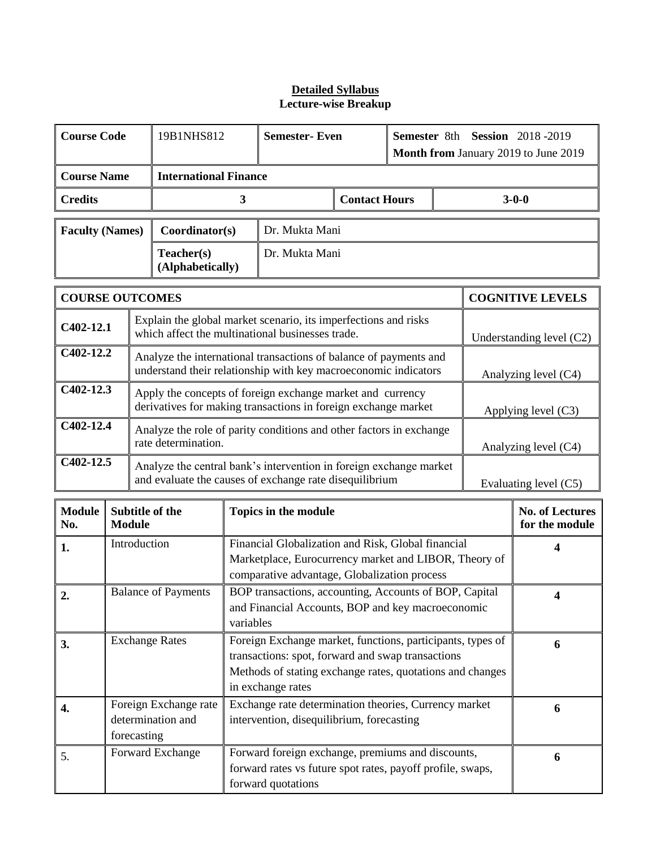| <b>Course Code</b>     |                                                           |                                                                                                                              | 19B1NHS812                                                                                         | <b>Semester-Even</b>                                                                                                                                        |                                                                                                                                      | Semester 8th Session 2018-2019<br>Month from January 2019 to June 2019 |                                                                                                                                                                              |                       |   |                                          |
|------------------------|-----------------------------------------------------------|------------------------------------------------------------------------------------------------------------------------------|----------------------------------------------------------------------------------------------------|-------------------------------------------------------------------------------------------------------------------------------------------------------------|--------------------------------------------------------------------------------------------------------------------------------------|------------------------------------------------------------------------|------------------------------------------------------------------------------------------------------------------------------------------------------------------------------|-----------------------|---|------------------------------------------|
| <b>Course Name</b>     |                                                           |                                                                                                                              | <b>International Finance</b>                                                                       |                                                                                                                                                             |                                                                                                                                      |                                                                        |                                                                                                                                                                              |                       |   |                                          |
| <b>Credits</b>         |                                                           |                                                                                                                              |                                                                                                    | 3                                                                                                                                                           |                                                                                                                                      | <b>Contact Hours</b>                                                   |                                                                                                                                                                              |                       |   | $3 - 0 - 0$                              |
| <b>Faculty (Names)</b> |                                                           |                                                                                                                              | Coordinator(s)                                                                                     |                                                                                                                                                             | Dr. Mukta Mani                                                                                                                       |                                                                        |                                                                                                                                                                              |                       |   |                                          |
|                        |                                                           |                                                                                                                              | Teacher(s)<br>(Alphabetically)                                                                     |                                                                                                                                                             | Dr. Mukta Mani                                                                                                                       |                                                                        |                                                                                                                                                                              |                       |   |                                          |
| <b>COURSE OUTCOMES</b> |                                                           |                                                                                                                              |                                                                                                    |                                                                                                                                                             |                                                                                                                                      |                                                                        |                                                                                                                                                                              |                       |   | <b>COGNITIVE LEVELS</b>                  |
| $C402-12.1$            |                                                           |                                                                                                                              |                                                                                                    |                                                                                                                                                             | Explain the global market scenario, its imperfections and risks<br>which affect the multinational businesses trade.                  |                                                                        |                                                                                                                                                                              |                       |   | Understanding level (C2)                 |
| C402-12.2              |                                                           |                                                                                                                              |                                                                                                    |                                                                                                                                                             | Analyze the international transactions of balance of payments and<br>understand their relationship with key macroeconomic indicators |                                                                        |                                                                                                                                                                              |                       |   | Analyzing level (C4)                     |
| $C402-12.3$            |                                                           | Apply the concepts of foreign exchange market and currency<br>derivatives for making transactions in foreign exchange market |                                                                                                    |                                                                                                                                                             |                                                                                                                                      |                                                                        |                                                                                                                                                                              | Applying level $(C3)$ |   |                                          |
| C402-12.4              |                                                           | Analyze the role of parity conditions and other factors in exchange<br>rate determination.                                   |                                                                                                    |                                                                                                                                                             |                                                                                                                                      |                                                                        |                                                                                                                                                                              | Analyzing level (C4)  |   |                                          |
|                        | C402-12.5                                                 |                                                                                                                              |                                                                                                    | Analyze the central bank's intervention in foreign exchange market<br>and evaluate the causes of exchange rate disequilibrium                               |                                                                                                                                      |                                                                        |                                                                                                                                                                              | Evaluating level (C5) |   |                                          |
| <b>Module</b><br>No.   | <b>Module</b>                                             |                                                                                                                              | Subtitle of the                                                                                    |                                                                                                                                                             | Topics in the module                                                                                                                 |                                                                        |                                                                                                                                                                              |                       |   | <b>No. of Lectures</b><br>for the module |
| 1.                     | Introduction                                              |                                                                                                                              |                                                                                                    | Financial Globalization and Risk, Global financial<br>Marketplace, Eurocurrency market and LIBOR, Theory of<br>comparative advantage, Globalization process |                                                                                                                                      |                                                                        |                                                                                                                                                                              |                       | 4 |                                          |
| 2.                     |                                                           |                                                                                                                              | <b>Balance of Payments</b>                                                                         | BOP transactions, accounting, Accounts of BOP, Capital<br>and Financial Accounts, BOP and key macroeconomic<br>variables                                    |                                                                                                                                      |                                                                        |                                                                                                                                                                              |                       | 4 |                                          |
| 3.                     |                                                           |                                                                                                                              | <b>Exchange Rates</b>                                                                              | in exchange rates                                                                                                                                           |                                                                                                                                      |                                                                        | Foreign Exchange market, functions, participants, types of<br>transactions: spot, forward and swap transactions<br>Methods of stating exchange rates, quotations and changes |                       |   | 6                                        |
| 4.                     | Foreign Exchange rate<br>determination and<br>forecasting |                                                                                                                              | Exchange rate determination theories, Currency market<br>intervention, disequilibrium, forecasting |                                                                                                                                                             |                                                                                                                                      |                                                                        |                                                                                                                                                                              |                       | 6 |                                          |
| 5.                     |                                                           |                                                                                                                              | Forward Exchange                                                                                   | Forward foreign exchange, premiums and discounts,<br>forward rates vs future spot rates, payoff profile, swaps,<br>forward quotations                       |                                                                                                                                      |                                                                        |                                                                                                                                                                              |                       |   | 6                                        |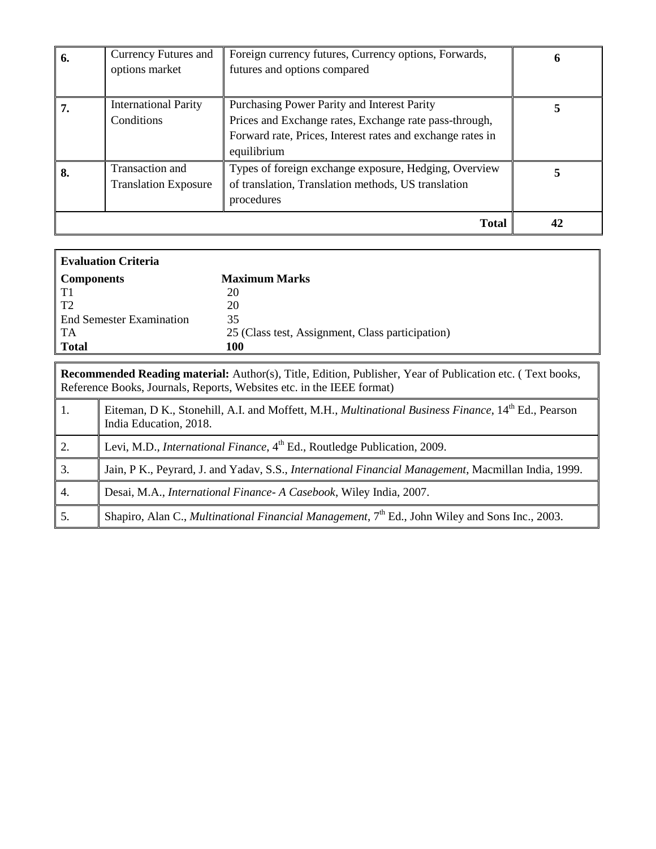|    |                             | <b>Total</b>                                                              |  |
|----|-----------------------------|---------------------------------------------------------------------------|--|
|    |                             | procedures                                                                |  |
|    | <b>Translation Exposure</b> | of translation, Translation methods, US translation                       |  |
| 8. | Transaction and             | Types of foreign exchange exposure, Hedging, Overview                     |  |
|    |                             | Forward rate, Prices, Interest rates and exchange rates in<br>equilibrium |  |
|    | Conditions                  | Prices and Exchange rates, Exchange rate pass-through,                    |  |
| 7. |                             |                                                                           |  |
|    | <b>International Parity</b> | Purchasing Power Parity and Interest Parity                               |  |
|    |                             |                                                                           |  |
|    | options market              | futures and options compared                                              |  |
| b. | Currency Futures and        | Foreign currency futures, Currency options, Forwards,                     |  |

| <b>Evaluation Criteria</b>      |                                                  |  |  |  |  |  |  |
|---------------------------------|--------------------------------------------------|--|--|--|--|--|--|
| <b>Components</b>               | <b>Maximum Marks</b>                             |  |  |  |  |  |  |
| T1                              | 20                                               |  |  |  |  |  |  |
| T <sub>2</sub>                  | 20                                               |  |  |  |  |  |  |
| <b>End Semester Examination</b> | 35                                               |  |  |  |  |  |  |
| TA                              | 25 (Class test, Assignment, Class participation) |  |  |  |  |  |  |
| <b>Total</b>                    | <b>100</b>                                       |  |  |  |  |  |  |
|                                 |                                                  |  |  |  |  |  |  |

|                  | <b>Recommended Reading material:</b> Author(s), Title, Edition, Publisher, Year of Publication etc. (Text books,<br>Reference Books, Journals, Reports, Websites etc. in the IEEE format) |  |  |  |  |  |  |
|------------------|-------------------------------------------------------------------------------------------------------------------------------------------------------------------------------------------|--|--|--|--|--|--|
| $\vert 1.$       | Eiteman, D K., Stonehill, A.I. and Moffett, M.H., <i>Multinational Business Finance</i> , 14 <sup>th</sup> Ed., Pearson<br>India Education, 2018.                                         |  |  |  |  |  |  |
| $\overline{2}$ . | Levi, M.D., <i>International Finance</i> , 4 <sup>th</sup> Ed., Routledge Publication, 2009.                                                                                              |  |  |  |  |  |  |
| 3.               | Jain, P K., Peyrard, J. and Yadav, S.S., <i>International Financial Management</i> , Macmillan India, 1999.                                                                               |  |  |  |  |  |  |
| $\overline{4}$ . | Desai, M.A., International Finance- A Casebook, Wiley India, 2007.                                                                                                                        |  |  |  |  |  |  |
| 5.               | Shapiro, Alan C., <i>Multinational Financial Management</i> , 7 <sup>th</sup> Ed., John Wiley and Sons Inc., 2003.                                                                        |  |  |  |  |  |  |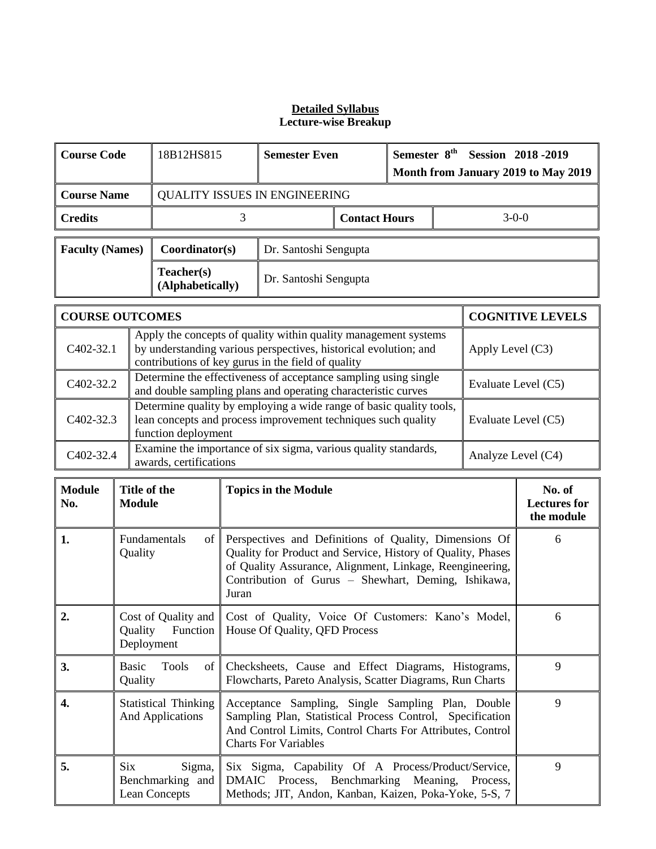| <b>Course Code</b> | 18B12HS815                           | <b>Semester Even</b> |  | Semester 8 <sup>th</sup> Session 2018 - 2019<br>Month from January 2019 to May 2019 |  |         |
|--------------------|--------------------------------------|----------------------|--|-------------------------------------------------------------------------------------|--|---------|
| <b>Course Name</b> | <b>QUALITY ISSUES IN ENGINEERING</b> |                      |  |                                                                                     |  |         |
| <b>Credits</b>     |                                      | <b>Contact Hours</b> |  |                                                                                     |  | $3-0-0$ |
|                    |                                      |                      |  |                                                                                     |  |         |

| Faculty (Names) | Coordinator(s)                 | Dr. Santoshi Sengupta |
|-----------------|--------------------------------|-----------------------|
|                 | Teacher(s)<br>(Alphabetically) | Dr. Santoshi Sengupta |

| <b>COURSE OUTCOMES</b> | <b>COGNITIVE LEVELS</b>                                                                                                                                                                   |                     |
|------------------------|-------------------------------------------------------------------------------------------------------------------------------------------------------------------------------------------|---------------------|
| C <sub>4</sub> 02-32.1 | Apply the concepts of quality within quality management systems<br>by understanding various perspectives, historical evolution; and<br>contributions of key gurus in the field of quality | Apply Level $(C3)$  |
| C <sub>4</sub> 02-32.2 | Determine the effectiveness of acceptance sampling using single<br>and double sampling plans and operating characteristic curves                                                          | Evaluate Level (C5) |
| C <sub>4</sub> 02-32.3 | Determine quality by employing a wide range of basic quality tools,<br>lean concepts and process improvement techniques such quality<br>function deployment                               | Evaluate Level (C5) |
| C402-32.4              | Examine the importance of six sigma, various quality standards,<br>awards, certifications                                                                                                 | Analyze Level (C4)  |

| <b>Module</b><br>No. | Title of the<br><b>Module</b>                             | <b>Topics in the Module</b>                                                                                                                                                                                                                       | No. of<br><b>Lectures for</b><br>the module |
|----------------------|-----------------------------------------------------------|---------------------------------------------------------------------------------------------------------------------------------------------------------------------------------------------------------------------------------------------------|---------------------------------------------|
| 1.                   | Fundamentals<br>of  <br>Quality                           | Perspectives and Definitions of Quality, Dimensions Of<br>Quality for Product and Service, History of Quality, Phases<br>of Quality Assurance, Alignment, Linkage, Reengineering,<br>Contribution of Gurus - Shewhart, Deming, Ishikawa,<br>Juran | 6                                           |
| 2.                   | Cost of Quality and<br>Function<br>Quality<br>Deployment  | Cost of Quality, Voice Of Customers: Kano's Model,<br>House Of Quality, QFD Process                                                                                                                                                               | 6                                           |
| 3.                   | <b>Basic</b><br>Tools<br>of <sub>1</sub><br>Quality       | Checksheets, Cause and Effect Diagrams, Histograms,<br>Flowcharts, Pareto Analysis, Scatter Diagrams, Run Charts                                                                                                                                  | 9                                           |
| 4.                   | <b>Statistical Thinking</b><br><b>And Applications</b>    | Acceptance Sampling, Single Sampling Plan, Double<br>Sampling Plan, Statistical Process Control, Specification<br>And Control Limits, Control Charts For Attributes, Control<br><b>Charts For Variables</b>                                       | 9                                           |
| 5.                   | <b>Six</b><br>Sigma,<br>Benchmarking and<br>Lean Concepts | Six Sigma, Capability Of A Process/Product/Service,<br>DMAIC Process, Benchmarking Meaning, Process,<br>Methods; JIT, Andon, Kanban, Kaizen, Poka-Yoke, 5-S, 7                                                                                    | 9                                           |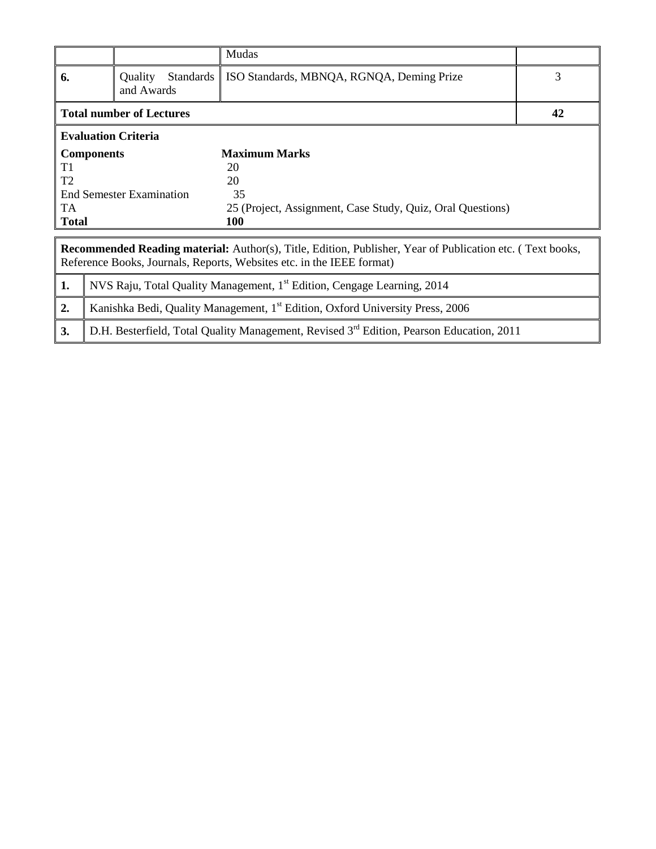|                                                                                                                                                                                           |                                                                                     |                            |                  | Mudas                                                                                     |   |  |  |  |
|-------------------------------------------------------------------------------------------------------------------------------------------------------------------------------------------|-------------------------------------------------------------------------------------|----------------------------|------------------|-------------------------------------------------------------------------------------------|---|--|--|--|
| 6.                                                                                                                                                                                        |                                                                                     | Quality<br>and Awards      | <b>Standards</b> | ISO Standards, MBNQA, RGNQA, Deming Prize                                                 | 3 |  |  |  |
| <b>Total number of Lectures</b>                                                                                                                                                           | 42                                                                                  |                            |                  |                                                                                           |   |  |  |  |
|                                                                                                                                                                                           |                                                                                     | <b>Evaluation Criteria</b> |                  |                                                                                           |   |  |  |  |
|                                                                                                                                                                                           | <b>Components</b>                                                                   |                            |                  | <b>Maximum Marks</b>                                                                      |   |  |  |  |
| T1                                                                                                                                                                                        |                                                                                     |                            |                  | 20                                                                                        |   |  |  |  |
| T <sub>2</sub>                                                                                                                                                                            |                                                                                     |                            |                  | 20                                                                                        |   |  |  |  |
|                                                                                                                                                                                           |                                                                                     | End Semester Examination   |                  | 35                                                                                        |   |  |  |  |
| TA.                                                                                                                                                                                       |                                                                                     |                            |                  | 25 (Project, Assignment, Case Study, Quiz, Oral Questions)                                |   |  |  |  |
| <b>Total</b>                                                                                                                                                                              |                                                                                     |                            |                  | <b>100</b>                                                                                |   |  |  |  |
|                                                                                                                                                                                           |                                                                                     |                            |                  |                                                                                           |   |  |  |  |
| <b>Recommended Reading material:</b> Author(s), Title, Edition, Publisher, Year of Publication etc. (Text books,<br>Reference Books, Journals, Reports, Websites etc. in the IEEE format) |                                                                                     |                            |                  |                                                                                           |   |  |  |  |
| 1.                                                                                                                                                                                        | NVS Raju, Total Quality Management, 1 <sup>st</sup> Edition, Cengage Learning, 2014 |                            |                  |                                                                                           |   |  |  |  |
| 2.                                                                                                                                                                                        |                                                                                     |                            |                  | Kanishka Bedi, Quality Management, 1 <sup>st</sup> Edition, Oxford University Press, 2006 |   |  |  |  |

**3.** D.H. Besterfield, Total Quality Management, Revised 3<sup>rd</sup> Edition, Pearson Education, 2011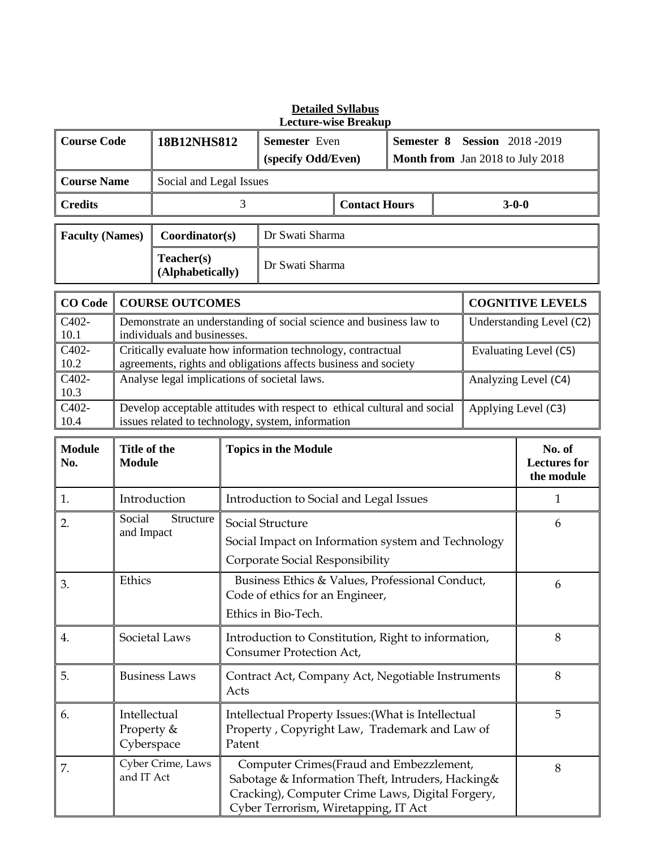| <b>Lecture-wise Breakup</b> |                                                                                                                                                            |                                                                                                                                                |                                         |                                                                                                                                                                                          |                      |            |                                                              |                                             |                          |  |
|-----------------------------|------------------------------------------------------------------------------------------------------------------------------------------------------------|------------------------------------------------------------------------------------------------------------------------------------------------|-----------------------------------------|------------------------------------------------------------------------------------------------------------------------------------------------------------------------------------------|----------------------|------------|--------------------------------------------------------------|---------------------------------------------|--------------------------|--|
| <b>Course Code</b>          |                                                                                                                                                            | 18B12NHS812                                                                                                                                    |                                         | Semester Even<br>(specify Odd/Even)                                                                                                                                                      |                      | Semester 8 | <b>Session</b> 2018-2019<br>Month from Jan 2018 to July 2018 |                                             |                          |  |
| <b>Course Name</b>          |                                                                                                                                                            | Social and Legal Issues                                                                                                                        |                                         |                                                                                                                                                                                          |                      |            |                                                              |                                             |                          |  |
| <b>Credits</b>              |                                                                                                                                                            |                                                                                                                                                | 3                                       |                                                                                                                                                                                          | <b>Contact Hours</b> |            |                                                              | $3 - 0 - 0$                                 |                          |  |
| <b>Faculty (Names)</b>      |                                                                                                                                                            | Coordinator(s)                                                                                                                                 |                                         | Dr Swati Sharma                                                                                                                                                                          |                      |            |                                                              |                                             |                          |  |
|                             |                                                                                                                                                            | Teacher(s)<br>(Alphabetically)                                                                                                                 |                                         | Dr Swati Sharma                                                                                                                                                                          |                      |            |                                                              |                                             |                          |  |
| <b>CO</b> Code              |                                                                                                                                                            | <b>COURSE OUTCOMES</b>                                                                                                                         |                                         |                                                                                                                                                                                          |                      |            |                                                              |                                             | <b>COGNITIVE LEVELS</b>  |  |
| C402-<br>10.1               |                                                                                                                                                            | individuals and businesses.                                                                                                                    |                                         | Demonstrate an understanding of social science and business law to                                                                                                                       |                      |            |                                                              |                                             | Understanding Level (C2) |  |
| C402-<br>10.2               |                                                                                                                                                            |                                                                                                                                                |                                         | Critically evaluate how information technology, contractual<br>agreements, rights and obligations affects business and society                                                           |                      |            |                                                              |                                             | Evaluating Level (C5)    |  |
| C402-<br>10.3               |                                                                                                                                                            | Analyse legal implications of societal laws.                                                                                                   |                                         |                                                                                                                                                                                          |                      |            |                                                              |                                             | Analyzing Level (C4)     |  |
| C402-<br>10.4               |                                                                                                                                                            |                                                                                                                                                |                                         | Develop acceptable attitudes with respect to ethical cultural and social<br>issues related to technology, system, information                                                            |                      |            |                                                              |                                             | Applying Level (C3)      |  |
| <b>Module</b><br>No.        | Title of the<br><b>Module</b>                                                                                                                              |                                                                                                                                                | <b>Topics in the Module</b>             |                                                                                                                                                                                          |                      |            |                                                              | No. of<br><b>Lectures</b> for<br>the module |                          |  |
| 1.                          |                                                                                                                                                            | Introduction                                                                                                                                   | Introduction to Social and Legal Issues |                                                                                                                                                                                          |                      |            |                                                              |                                             | $\mathbf{1}$             |  |
| 2.                          |                                                                                                                                                            | Social<br>Structure<br>Social Structure<br>and Impact<br>Social Impact on Information system and Technology<br>Corporate Social Responsibility |                                         |                                                                                                                                                                                          |                      | 6          |                                                              |                                             |                          |  |
| 3.                          | Ethics                                                                                                                                                     |                                                                                                                                                |                                         | Business Ethics & Values, Professional Conduct,<br>Code of ethics for an Engineer,<br>Ethics in Bio-Tech.                                                                                |                      |            |                                                              |                                             | 6                        |  |
| 4.                          | Societal Laws<br>Introduction to Constitution, Right to information,<br>Consumer Protection Act,                                                           |                                                                                                                                                |                                         |                                                                                                                                                                                          |                      | 8          |                                                              |                                             |                          |  |
| 5.                          | <b>Business Laws</b><br>Contract Act, Company Act, Negotiable Instruments<br>Acts                                                                          |                                                                                                                                                |                                         |                                                                                                                                                                                          |                      | 8          |                                                              |                                             |                          |  |
| 6.                          | Intellectual<br>Intellectual Property Issues: (What is Intellectual<br>Property &<br>Property, Copyright Law, Trademark and Law of<br>Cyberspace<br>Patent |                                                                                                                                                |                                         |                                                                                                                                                                                          | 5                    |            |                                                              |                                             |                          |  |
| 7.                          | and IT Act                                                                                                                                                 | Cyber Crime, Laws                                                                                                                              |                                         | Computer Crimes(Fraud and Embezzlement,<br>Sabotage & Information Theft, Intruders, Hacking&<br>Cracking), Computer Crime Laws, Digital Forgery,<br>Cyber Terrorism, Wiretapping, IT Act |                      |            |                                                              |                                             | 8                        |  |

# **Detailed Syllabus**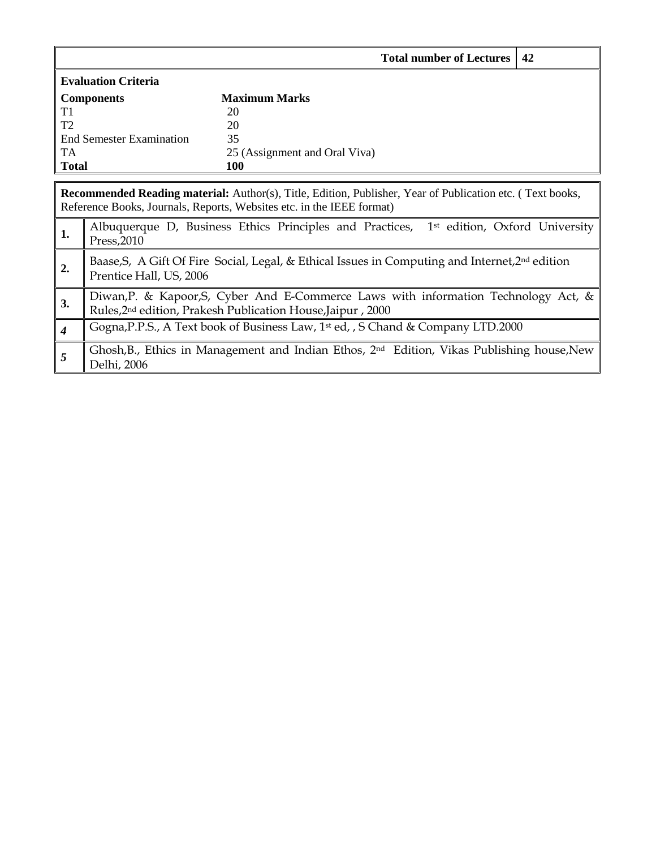|                  |                                                                                                                                                                 | <b>Total number of Lectures</b>                                                                                                                                                           | 42 |  |  |  |  |  |  |
|------------------|-----------------------------------------------------------------------------------------------------------------------------------------------------------------|-------------------------------------------------------------------------------------------------------------------------------------------------------------------------------------------|----|--|--|--|--|--|--|
|                  | <b>Evaluation Criteria</b>                                                                                                                                      |                                                                                                                                                                                           |    |  |  |  |  |  |  |
|                  | <b>Components</b>                                                                                                                                               | <b>Maximum Marks</b>                                                                                                                                                                      |    |  |  |  |  |  |  |
| T1               |                                                                                                                                                                 | 20                                                                                                                                                                                        |    |  |  |  |  |  |  |
| T <sub>2</sub>   |                                                                                                                                                                 | 20                                                                                                                                                                                        |    |  |  |  |  |  |  |
|                  | <b>End Semester Examination</b>                                                                                                                                 | 35                                                                                                                                                                                        |    |  |  |  |  |  |  |
| <b>TA</b>        |                                                                                                                                                                 | 25 (Assignment and Oral Viva)                                                                                                                                                             |    |  |  |  |  |  |  |
| <b>Total</b>     |                                                                                                                                                                 | <b>100</b>                                                                                                                                                                                |    |  |  |  |  |  |  |
|                  |                                                                                                                                                                 |                                                                                                                                                                                           |    |  |  |  |  |  |  |
|                  |                                                                                                                                                                 | <b>Recommended Reading material:</b> Author(s), Title, Edition, Publisher, Year of Publication etc. (Text books,<br>Reference Books, Journals, Reports, Websites etc. in the IEEE format) |    |  |  |  |  |  |  |
| 1.               | Press, 2010                                                                                                                                                     | Albuquerque D, Business Ethics Principles and Practices, 1 <sup>st</sup> edition, Oxford University                                                                                       |    |  |  |  |  |  |  |
| 2.               | Baase, S, A Gift Of Fire Social, Legal, & Ethical Issues in Computing and Internet, $2nd$ edition<br>Prentice Hall, US, 2006                                    |                                                                                                                                                                                           |    |  |  |  |  |  |  |
| 3.               | Diwan, P. & Kapoor, S., Cyber And E-Commerce Laws with information Technology Act, &<br>Rules, 2 <sup>nd</sup> edition, Prakesh Publication House, Jaipur, 2000 |                                                                                                                                                                                           |    |  |  |  |  |  |  |
| $\boldsymbol{4}$ |                                                                                                                                                                 | Gogna, P.P.S., A Text book of Business Law, 1 <sup>st</sup> ed, , S Chand & Company LTD.2000                                                                                              |    |  |  |  |  |  |  |
| 5                | Delhi, 2006                                                                                                                                                     | Ghosh, B., Ethics in Management and Indian Ethos, 2 <sup>nd</sup> Edition, Vikas Publishing house, New                                                                                    |    |  |  |  |  |  |  |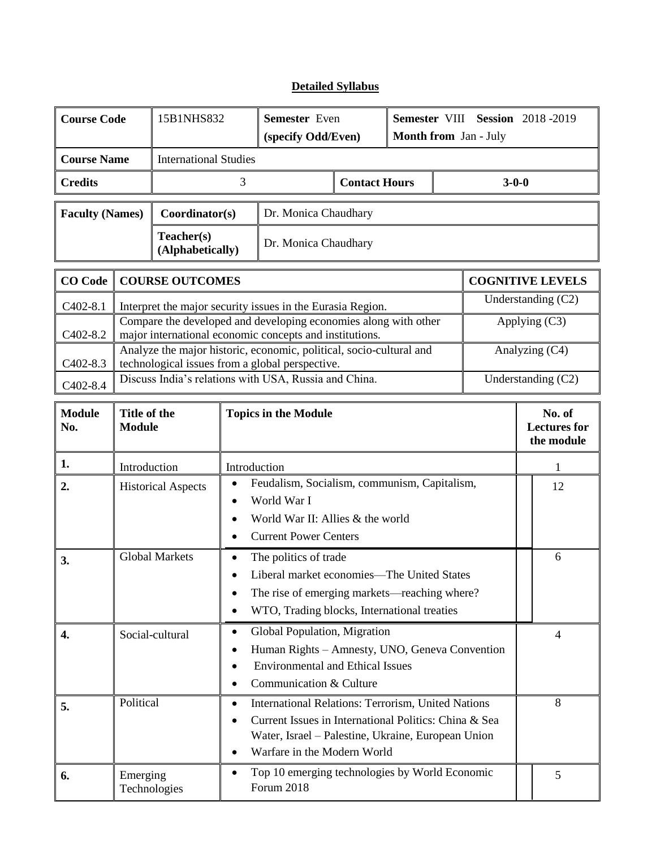# **Detailed Syllabus**

| <b>Course Code</b>     |                                                                  | 15B1NHS832                                                                                                                                                                                                                                           |                                                                                                                                                                              | Semester Even<br>(specify Odd/Even)                                                                                             |                      | Semester VIII Session 2018-2019<br>Month from Jan - July |   |                |                    |                                             |  |
|------------------------|------------------------------------------------------------------|------------------------------------------------------------------------------------------------------------------------------------------------------------------------------------------------------------------------------------------------------|------------------------------------------------------------------------------------------------------------------------------------------------------------------------------|---------------------------------------------------------------------------------------------------------------------------------|----------------------|----------------------------------------------------------|---|----------------|--------------------|---------------------------------------------|--|
| <b>Course Name</b>     |                                                                  | <b>International Studies</b>                                                                                                                                                                                                                         |                                                                                                                                                                              |                                                                                                                                 |                      |                                                          |   |                |                    |                                             |  |
| <b>Credits</b>         |                                                                  |                                                                                                                                                                                                                                                      | 3                                                                                                                                                                            | <b>Contact Hours</b>                                                                                                            |                      |                                                          |   | $3 - 0 - 0$    |                    |                                             |  |
| <b>Faculty (Names)</b> |                                                                  | Coordinator(s)                                                                                                                                                                                                                                       |                                                                                                                                                                              | Dr. Monica Chaudhary                                                                                                            |                      |                                                          |   |                |                    |                                             |  |
|                        |                                                                  | Teacher(s)<br>(Alphabetically)                                                                                                                                                                                                                       |                                                                                                                                                                              | Dr. Monica Chaudhary                                                                                                            |                      |                                                          |   |                |                    |                                             |  |
| <b>CO</b> Code         | <b>COURSE OUTCOMES</b>                                           |                                                                                                                                                                                                                                                      |                                                                                                                                                                              |                                                                                                                                 |                      |                                                          |   |                |                    | <b>COGNITIVE LEVELS</b>                     |  |
| $C402-8.1$             |                                                                  |                                                                                                                                                                                                                                                      |                                                                                                                                                                              | Interpret the major security issues in the Eurasia Region.                                                                      | Understanding $(C2)$ |                                                          |   |                |                    |                                             |  |
| C402-8.2               |                                                                  | Compare the developed and developing economies along with other<br>major international economic concepts and institutions.                                                                                                                           |                                                                                                                                                                              |                                                                                                                                 |                      |                                                          |   |                | Applying (C3)      |                                             |  |
| C402-8.3               |                                                                  |                                                                                                                                                                                                                                                      | Analyze the major historic, economic, political, socio-cultural and<br>technological issues from a global perspective.                                                       |                                                                                                                                 |                      |                                                          |   | Analyzing (C4) |                    |                                             |  |
| C402-8.4               |                                                                  | Discuss India's relations with USA, Russia and China.                                                                                                                                                                                                |                                                                                                                                                                              |                                                                                                                                 |                      |                                                          |   |                | Understanding (C2) |                                             |  |
| <b>Module</b><br>No.   | Title of the<br><b>Module</b>                                    |                                                                                                                                                                                                                                                      | <b>Topics in the Module</b>                                                                                                                                                  |                                                                                                                                 |                      |                                                          |   |                |                    | No. of<br><b>Lectures</b> for<br>the module |  |
| 1.                     |                                                                  | Introduction                                                                                                                                                                                                                                         |                                                                                                                                                                              | Introduction                                                                                                                    |                      |                                                          |   |                |                    | 1                                           |  |
| 2.                     | $\bullet$<br><b>Historical Aspects</b><br>$\bullet$<br>$\bullet$ |                                                                                                                                                                                                                                                      |                                                                                                                                                                              | Feudalism, Socialism, communism, Capitalism,<br>World War I<br>World War II: Allies & the world<br><b>Current Power Centers</b> |                      |                                                          |   |                |                    | 12                                          |  |
| 3.                     | Global Markets                                                   |                                                                                                                                                                                                                                                      | The politics of trade<br>٠<br>Liberal market economies—The United States<br>The rise of emerging markets—reaching where?<br>WTO, Trading blocks, International treaties<br>٠ |                                                                                                                                 |                      |                                                          |   |                | 6                  |                                             |  |
| 4.                     |                                                                  | Global Population, Migration<br>$\bullet$<br>Social-cultural<br>Human Rights - Amnesty, UNO, Geneva Convention<br>٠<br><b>Environmental and Ethical Issues</b><br>٠<br>Communication & Culture<br>$\bullet$                                          |                                                                                                                                                                              |                                                                                                                                 |                      |                                                          |   |                | $\overline{4}$     |                                             |  |
| 5.                     |                                                                  | Political<br>International Relations: Terrorism, United Nations<br>$\bullet$<br>Current Issues in International Politics: China & Sea<br>$\bullet$<br>Water, Israel - Palestine, Ukraine, European Union<br>Warfare in the Modern World<br>$\bullet$ |                                                                                                                                                                              |                                                                                                                                 |                      |                                                          |   | 8              |                    |                                             |  |
| 6.                     |                                                                  | Top 10 emerging technologies by World Economic<br>$\bullet$<br>Emerging<br>Forum 2018<br>Technologies                                                                                                                                                |                                                                                                                                                                              |                                                                                                                                 |                      |                                                          | 5 |                |                    |                                             |  |